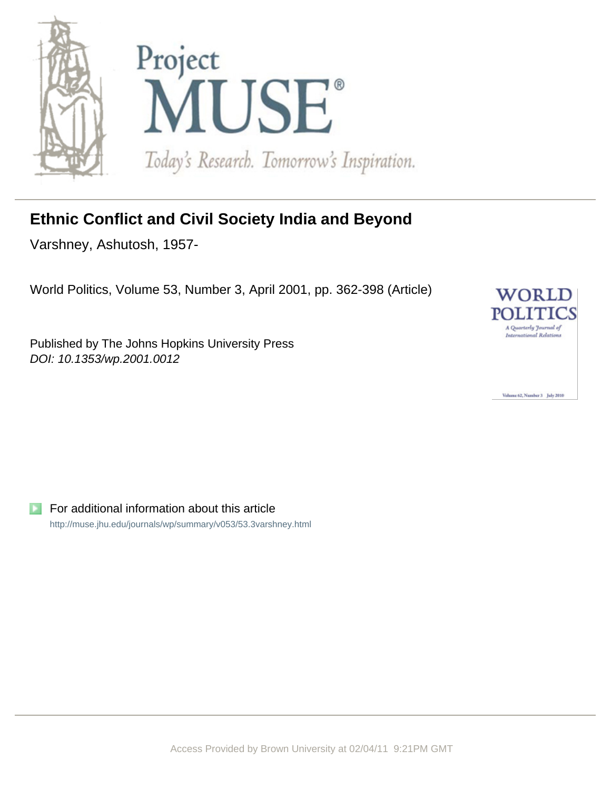

# **Ethnic Conflict and Civil Society India and Beyond**

Varshney, Ashutosh, 1957-

World Politics, Volume 53, Number 3, April 2001, pp. 362-398 (Article)

Published by The Johns Hopkins University Press DOI: 10.1353/wp.2001.0012



Volume 62, Number 3 July 2010

For additional information about this article <http://muse.jhu.edu/journals/wp/summary/v053/53.3varshney.html>

Access Provided by Brown University at 02/04/11 9:21PM GMT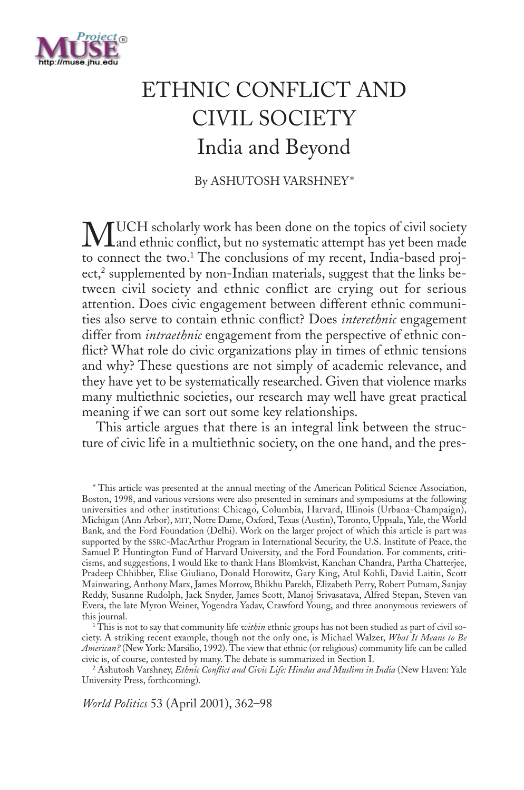

# ETHNIC CONFLICT AND CIVIL SOCIETY India and Beyond

# By ASHUTOSH VARSHNEY\*

 $\bf{M}^{\text{UCH}}$  scholarly work has been done on the topics of civil society<br>and ethnic conflict, but no systematic attempt has yet been made to connect the two.<sup>1</sup> The conclusions of my recent, India-based project,<sup>2</sup> supplemented by non-Indian materials, suggest that the links between civil society and ethnic conflict are crying out for serious attention. Does civic engagement between different ethnic communities also serve to contain ethnic conflict? Does *interethnic* engagement differ from *intraethnic* engagement from the perspective of ethnic conflict? What role do civic organizations play in times of ethnic tensions and why? These questions are not simply of academic relevance, and they have yet to be systematically researched. Given that violence marks many multiethnic societies, our research may well have great practical meaning if we can sort out some key relationships.

This article argues that there is an integral link between the structure of civic life in a multiethnic society, on the one hand, and the pres-

<sup>1</sup> This is not to say that community life *within* ethnic groups has not been studied as part of civil society. A striking recent example, though not the only one, is Michael Walzer, *What It Means to Be American?* (New York: Marsilio, 1992). The view that ethnic (or religious) community life can be called civic is, of course, contested by many. The debate is summarized in Section I.

<sup>2</sup> Ashutosh Varshney, *Ethnic Conflict and Civic Life: Hindus and Muslims in India* (New Haven: Yale University Press, forthcoming).

*World Politics* 53 (April 2001), 362–98

<sup>\*</sup> This article was presented at the annual meeting of the American Political Science Association, Boston, 1998, and various versions were also presented in seminars and symposiums at the following universities and other institutions: Chicago, Columbia, Harvard, Illinois (Urbana-Champaign), Michigan (Ann Arbor), MIT, Notre Dame, Oxford, Texas (Austin), Toronto, Uppsala, Yale, the World Bank, and the Ford Foundation (Delhi). Work on the larger project of which this article is part was supported by the SSRC-MacArthur Program in International Security, the U.S. Institute of Peace, the Samuel P. Huntington Fund of Harvard University, and the Ford Foundation. For comments, criticisms, and suggestions, I would like to thank Hans Blomkvist, Kanchan Chandra, Partha Chatterjee, Pradeep Chhibber, Elise Giuliano, Donald Horowitz, Gary King, Atul Kohli, David Laitin, Scott Mainwaring, Anthony Marx, James Morrow, Bhikhu Parekh, Elizabeth Perry, Robert Putnam, Sanjay Reddy, Susanne Rudolph, Jack Snyder, James Scott, Manoj Srivasatava, Alfred Stepan, Steven van Evera, the late Myron Weiner, Yogendra Yadav, Crawford Young, and three anonymous reviewers of this journal.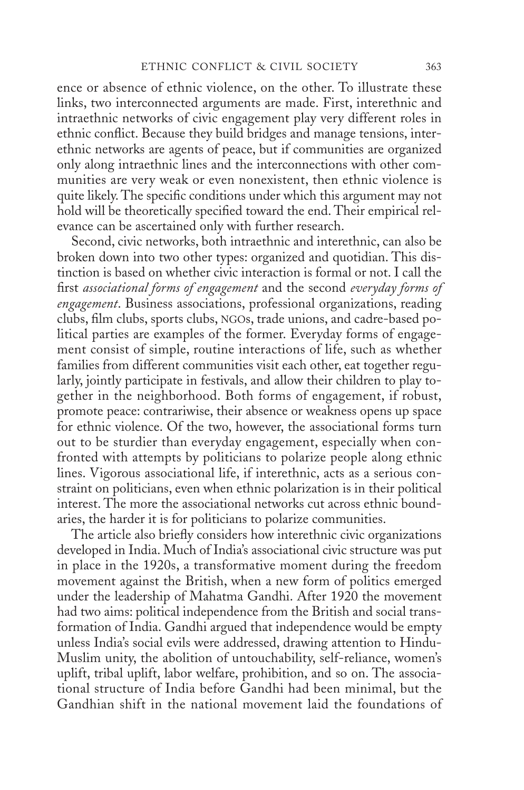ence or absence of ethnic violence, on the other. To illustrate these links, two interconnected arguments are made. First, interethnic and intraethnic networks of civic engagement play very different roles in ethnic conflict. Because they build bridges and manage tensions, interethnic networks are agents of peace, but if communities are organized only along intraethnic lines and the interconnections with other communities are very weak or even nonexistent, then ethnic violence is quite likely. The specific conditions under which this argument may not hold will be theoretically specified toward the end. Their empirical relevance can be ascertained only with further research.

Second, civic networks, both intraethnic and interethnic, can also be broken down into two other types: organized and quotidian. This distinction is based on whether civic interaction is formal or not. I call the first *associational forms of engagement* and the second *everyday forms of engagement*. Business associations, professional organizations, reading clubs, film clubs, sports clubs, NGOs, trade unions, and cadre-based political parties are examples of the former. Everyday forms of engagement consist of simple, routine interactions of life, such as whether families from different communities visit each other, eat together regularly, jointly participate in festivals, and allow their children to play together in the neighborhood. Both forms of engagement, if robust, promote peace: contrariwise, their absence or weakness opens up space for ethnic violence. Of the two, however, the associational forms turn out to be sturdier than everyday engagement, especially when confronted with attempts by politicians to polarize people along ethnic lines. Vigorous associational life, if interethnic, acts as a serious constraint on politicians, even when ethnic polarization is in their political interest. The more the associational networks cut across ethnic boundaries, the harder it is for politicians to polarize communities.

The article also briefly considers how interethnic civic organizations developed in India. Much of India's associational civic structure was put in place in the 1920s, a transformative moment during the freedom movement against the British, when a new form of politics emerged under the leadership of Mahatma Gandhi. After 1920 the movement had two aims: political independence from the British and social transformation of India. Gandhi argued that independence would be empty unless India's social evils were addressed, drawing attention to Hindu-Muslim unity, the abolition of untouchability, self-reliance, women's uplift, tribal uplift, labor welfare, prohibition, and so on. The associational structure of India before Gandhi had been minimal, but the Gandhian shift in the national movement laid the foundations of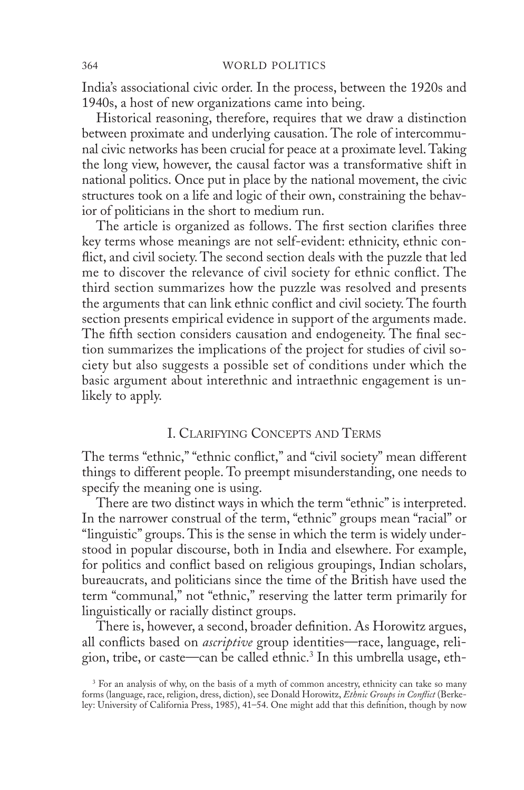India's associational civic order. In the process, between the 1920s and 1940s, a host of new organizations came into being.

Historical reasoning, therefore, requires that we draw a distinction between proximate and underlying causation. The role of intercommunal civic networks has been crucial for peace at a proximate level. Taking the long view, however, the causal factor was a transformative shift in national politics. Once put in place by the national movement, the civic structures took on a life and logic of their own, constraining the behavior of politicians in the short to medium run.

The article is organized as follows. The first section clarifies three key terms whose meanings are not self-evident: ethnicity, ethnic conflict, and civil society. The second section deals with the puzzle that led me to discover the relevance of civil society for ethnic conflict. The third section summarizes how the puzzle was resolved and presents the arguments that can link ethnic conflict and civil society. The fourth section presents empirical evidence in support of the arguments made. The fifth section considers causation and endogeneity. The final section summarizes the implications of the project for studies of civil society but also suggests a possible set of conditions under which the basic argument about interethnic and intraethnic engagement is unlikely to apply.

### I. CLARIFYING CONCEPTS AND TERMS

The terms "ethnic," "ethnic conflict," and "civil society" mean different things to different people. To preempt misunderstanding, one needs to specify the meaning one is using.

There are two distinct ways in which the term "ethnic" is interpreted. In the narrower construal of the term, "ethnic" groups mean "racial" or "linguistic" groups. This is the sense in which the term is widely understood in popular discourse, both in India and elsewhere. For example, for politics and conflict based on religious groupings, Indian scholars, bureaucrats, and politicians since the time of the British have used the term "communal," not "ethnic," reserving the latter term primarily for linguistically or racially distinct groups.

There is, however, a second, broader definition. As Horowitz argues, all conflicts based on *ascriptive* group identities—race, language, religion, tribe, or caste—can be called ethnic.3 In this umbrella usage, eth-

<sup>&</sup>lt;sup>3</sup> For an analysis of why, on the basis of a myth of common ancestry, ethnicity can take so many forms (language, race, religion, dress, diction), see Donald Horowitz, *Ethnic Groups in Conflict* (Berkeley: University of California Press, 1985), 41–54. One might add that this definition, though by now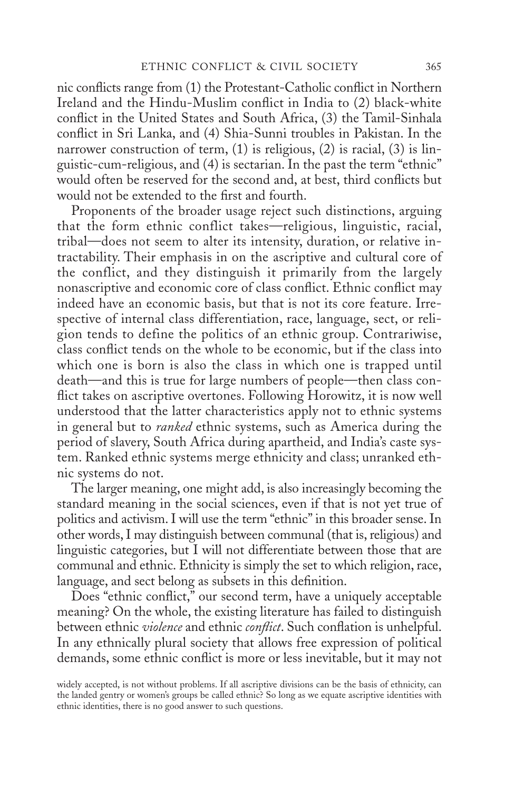nic conflicts range from (1) the Protestant-Catholic conflict in Northern Ireland and the Hindu-Muslim conflict in India to (2) black-white conflict in the United States and South Africa, (3) the Tamil-Sinhala conflict in Sri Lanka, and (4) Shia-Sunni troubles in Pakistan. In the narrower construction of term,  $(1)$  is religious,  $(2)$  is racial,  $(3)$  is linguistic-cum-religious, and (4) is sectarian. In the past the term "ethnic" would often be reserved for the second and, at best, third conflicts but would not be extended to the first and fourth.

Proponents of the broader usage reject such distinctions, arguing that the form ethnic conflict takes—religious, linguistic, racial, tribal—does not seem to alter its intensity, duration, or relative intractability. Their emphasis in on the ascriptive and cultural core of the conflict, and they distinguish it primarily from the largely nonascriptive and economic core of class conflict. Ethnic conflict may indeed have an economic basis, but that is not its core feature. Irrespective of internal class differentiation, race, language, sect, or religion tends to define the politics of an ethnic group. Contrariwise, class conflict tends on the whole to be economic, but if the class into which one is born is also the class in which one is trapped until death—and this is true for large numbers of people—then class conflict takes on ascriptive overtones. Following Horowitz, it is now well understood that the latter characteristics apply not to ethnic systems in general but to *ranked* ethnic systems, such as America during the period of slavery, South Africa during apartheid, and India's caste system. Ranked ethnic systems merge ethnicity and class; unranked ethnic systems do not.

The larger meaning, one might add, is also increasingly becoming the standard meaning in the social sciences, even if that is not yet true of politics and activism. I will use the term "ethnic" in this broader sense. In other words, I may distinguish between communal (that is, religious) and linguistic categories, but I will not differentiate between those that are communal and ethnic. Ethnicity is simply the set to which religion, race, language, and sect belong as subsets in this definition.

Does "ethnic conflict," our second term, have a uniquely acceptable meaning? On the whole, the existing literature has failed to distinguish between ethnic *violence* and ethnic *conflict*. Such conflation is unhelpful. In any ethnically plural society that allows free expression of political demands, some ethnic conflict is more or less inevitable, but it may not

widely accepted, is not without problems. If all ascriptive divisions can be the basis of ethnicity, can the landed gentry or women's groups be called ethnic? So long as we equate ascriptive identities with ethnic identities, there is no good answer to such questions.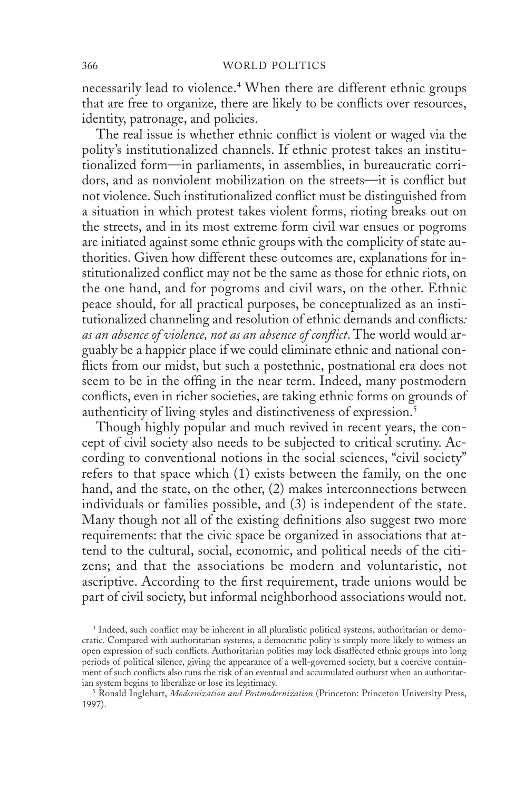necessarily lead to violence.<sup>4</sup> When there are different ethnic groups that are free to organize, there are likely to be conflicts over resources, identity, patronage, and policies.

The real issue is whether ethnic conflict is violent or waged via the polity's institutionalized channels. If ethnic protest takes an institutionalized form—in parliaments, in assemblies, in bureaucratic corridors, and as nonviolent mobilization on the streets—it is conflict but not violence. Such institutionalized conflict must be distinguished from a situation in which protest takes violent forms, rioting breaks out on the streets, and in its most extreme form civil war ensues or pogroms are initiated against some ethnic groups with the complicity of state authorities. Given how different these outcomes are, explanations for institutionalized conflict may not be the same as those for ethnic riots, on the one hand, and for pogroms and civil wars, on the other. Ethnic peace should, for all practical purposes, be conceptualized as an institutionalized channeling and resolution of ethnic demands and conflicts*: as an absence of violence, not as an absence of conflict*. The world would arguably be a happier place if we could eliminate ethnic and national conflicts from our midst, but such a postethnic, postnational era does not seem to be in the offing in the near term. Indeed, many postmodern conflicts, even in richer societies, are taking ethnic forms on grounds of authenticity of living styles and distinctiveness of expression.5

Though highly popular and much revived in recent years, the concept of civil society also needs to be subjected to critical scrutiny. According to conventional notions in the social sciences, "civil society" refers to that space which (1) exists between the family, on the one hand, and the state, on the other, (2) makes interconnections between individuals or families possible, and (3) is independent of the state. Many though not all of the existing definitions also suggest two more requirements: that the civic space be organized in associations that attend to the cultural, social, economic, and political needs of the citizens; and that the associations be modern and voluntaristic, not ascriptive. According to the first requirement, trade unions would be part of civil society, but informal neighborhood associations would not.

<sup>4</sup> Indeed, such conflict may be inherent in all pluralistic political systems, authoritarian or democratic. Compared with authoritarian systems, a democratic polity is simply more likely to witness an open expression of such conflicts. Authoritarian polities may lock disaffected ethnic groups into long periods of political silence, giving the appearance of a well-governed society, but a coercive containment of such conflicts also runs the risk of an eventual and accumulated outburst when an authoritarian system begins to liberalize or lose its legitimacy.

<sup>5</sup> Ronald Inglehart, *Modernization and Postmodernization* (Princeton: Princeton University Press, 1997).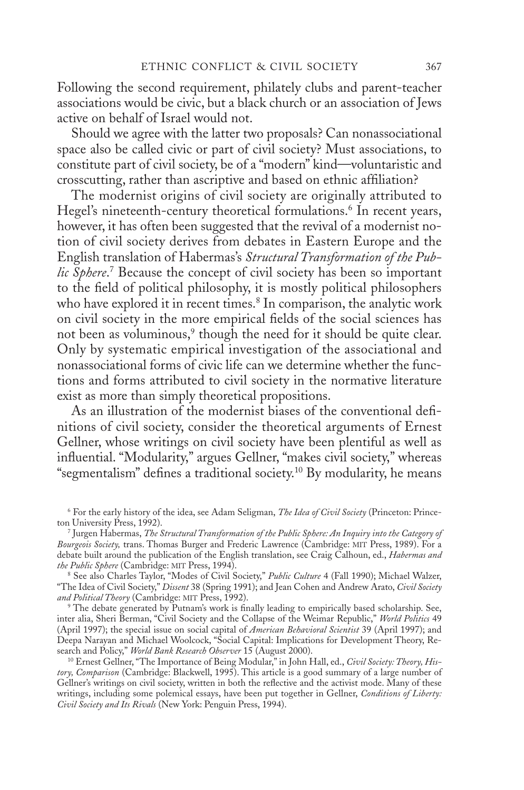Following the second requirement, philately clubs and parent-teacher associations would be civic, but a black church or an association of Jews active on behalf of Israel would not.

Should we agree with the latter two proposals? Can nonassociational space also be called civic or part of civil society? Must associations, to constitute part of civil society, be of a "modern" kind—voluntaristic and crosscutting, rather than ascriptive and based on ethnic affiliation?

The modernist origins of civil society are originally attributed to Hegel's nineteenth-century theoretical formulations.<sup>6</sup> In recent years, however, it has often been suggested that the revival of a modernist notion of civil society derives from debates in Eastern Europe and the English translation of Habermas's *Structural Transformation of the Public Sphere*. <sup>7</sup> Because the concept of civil society has been so important to the field of political philosophy, it is mostly political philosophers who have explored it in recent times.<sup>8</sup> In comparison, the analytic work on civil society in the more empirical fields of the social sciences has not been as voluminous,<sup>9</sup> though the need for it should be quite clear. Only by systematic empirical investigation of the associational and nonassociational forms of civic life can we determine whether the functions and forms attributed to civil society in the normative literature exist as more than simply theoretical propositions.

As an illustration of the modernist biases of the conventional definitions of civil society, consider the theoretical arguments of Ernest Gellner, whose writings on civil society have been plentiful as well as influential. "Modularity," argues Gellner, "makes civil society," whereas "segmentalism" defines a traditional society.10 By modularity, he means

<sup>9</sup> The debate generated by Putnam's work is finally leading to empirically based scholarship. See, inter alia, Sheri Berman, "Civil Society and the Collapse of the Weimar Republic," *World Politics* 49 (April 1997); the special issue on social capital of *American Behavioral Scientist* 39 (April 1997); and Deepa Narayan and Michael Woolcock, "Social Capital: Implications for Development Theory, Research and Policy," *World Bank Research Observer* 15 (August 2000).

<sup>10</sup> Ernest Gellner, "The Importance of Being Modular," in John Hall, ed., *Civil Society: Theory, History, Comparison* (Cambridge: Blackwell, 1995). This article is a good summary of a large number of Gellner's writings on civil society, written in both the reflective and the activist mode. Many of these writings, including some polemical essays, have been put together in Gellner, *Conditions of Liberty: Civil Society and Its Rivals* (New York: Penguin Press, 1994).

<sup>6</sup> For the early history of the idea, see Adam Seligman, *The Idea of Civil Society* (Princeton: Princeton University Press, 1992).

<sup>7</sup> Jurgen Habermas, *The Structural Transformation of the Public Sphere: An Inquiry into the Category of Bourgeois Society,* trans. Thomas Burger and Frederic Lawrence (Cambridge: MIT Press, 1989). For a debate built around the publication of the English translation, see Craig Calhoun, ed., *Habermas and the Public Sphere* (Cambridge: MIT Press, 1994).

<sup>8</sup> See also Charles Taylor, "Modes of Civil Society," *Public Culture* 4 (Fall 1990); Michael Walzer, "The Idea of Civil Society," *Dissent* 38 (Spring 1991); and Jean Cohen and Andrew Arato, *Civil Society and Political Theory* (Cambridge: MIT Press, 1992).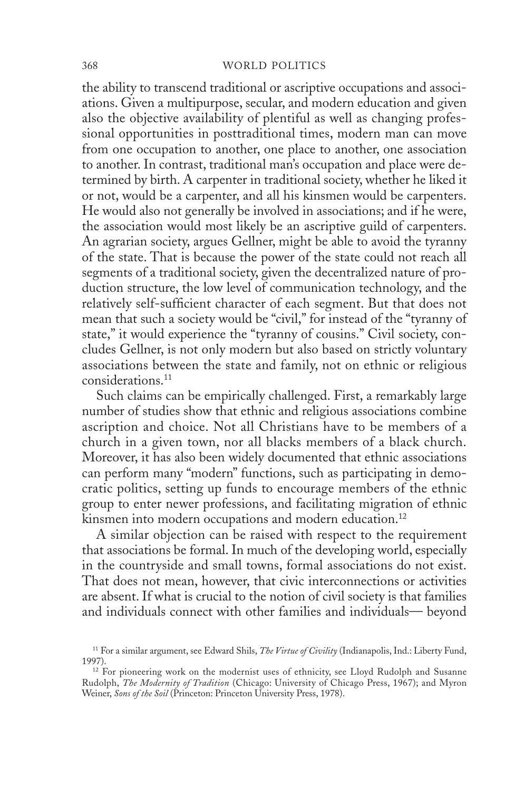the ability to transcend traditional or ascriptive occupations and associations. Given a multipurpose, secular, and modern education and given also the objective availability of plentiful as well as changing professional opportunities in posttraditional times, modern man can move from one occupation to another, one place to another, one association to another. In contrast, traditional man's occupation and place were determined by birth. A carpenter in traditional society, whether he liked it or not, would be a carpenter, and all his kinsmen would be carpenters. He would also not generally be involved in associations; and if he were, the association would most likely be an ascriptive guild of carpenters. An agrarian society, argues Gellner, might be able to avoid the tyranny of the state. That is because the power of the state could not reach all segments of a traditional society, given the decentralized nature of production structure, the low level of communication technology, and the relatively self-sufficient character of each segment. But that does not mean that such a society would be "civil," for instead of the "tyranny of state," it would experience the "tyranny of cousins." Civil society, concludes Gellner, is not only modern but also based on strictly voluntary associations between the state and family, not on ethnic or religious considerations.11

Such claims can be empirically challenged. First, a remarkably large number of studies show that ethnic and religious associations combine ascription and choice. Not all Christians have to be members of a church in a given town, nor all blacks members of a black church. Moreover, it has also been widely documented that ethnic associations can perform many "modern" functions, such as participating in democratic politics, setting up funds to encourage members of the ethnic group to enter newer professions, and facilitating migration of ethnic kinsmen into modern occupations and modern education.<sup>12</sup>

A similar objection can be raised with respect to the requirement that associations be formal. In much of the developing world, especially in the countryside and small towns, formal associations do not exist. That does not mean, however, that civic interconnections or activities are absent. If what is crucial to the notion of civil society is that families and individuals connect with other families and individuals— beyond

<sup>11</sup> For a similar argument, see Edward Shils, *The Virtue of Civility* (Indianapolis, Ind.: Liberty Fund, 1997).

 $12$  For pioneering work on the modernist uses of ethnicity, see Lloyd Rudolph and Susanne Rudolph, *The Modernity of Tradition* (Chicago: University of Chicago Press, 1967); and Myron Weiner, *Sons of the Soil* (Princeton: Princeton University Press, 1978).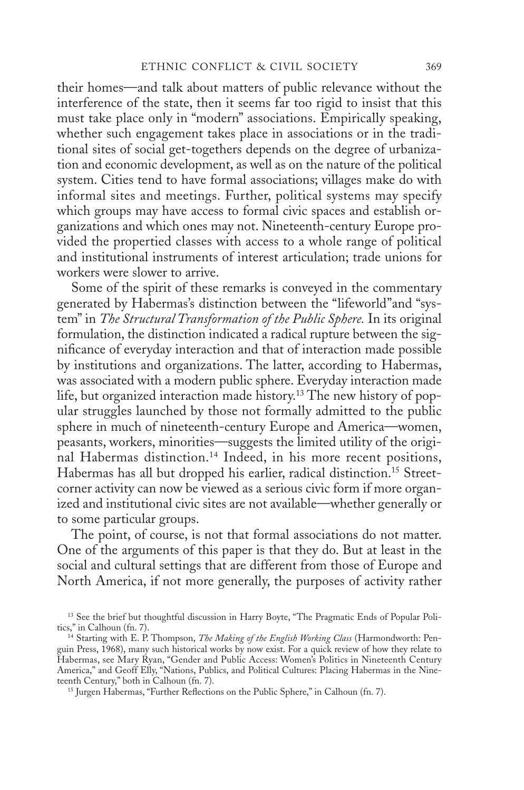their homes—and talk about matters of public relevance without the interference of the state, then it seems far too rigid to insist that this must take place only in "modern" associations. Empirically speaking, whether such engagement takes place in associations or in the traditional sites of social get-togethers depends on the degree of urbanization and economic development, as well as on the nature of the political system. Cities tend to have formal associations; villages make do with informal sites and meetings. Further, political systems may specify which groups may have access to formal civic spaces and establish organizations and which ones may not. Nineteenth-century Europe provided the propertied classes with access to a whole range of political and institutional instruments of interest articulation; trade unions for workers were slower to arrive.

Some of the spirit of these remarks is conveyed in the commentary generated by Habermas's distinction between the "lifeworld"and "system" in *The Structural Transformation of the Public Sphere.* In its original formulation, the distinction indicated a radical rupture between the significance of everyday interaction and that of interaction made possible by institutions and organizations. The latter, according to Habermas, was associated with a modern public sphere. Everyday interaction made life, but organized interaction made history.13 The new history of popular struggles launched by those not formally admitted to the public sphere in much of nineteenth-century Europe and America—women, peasants, workers, minorities—suggests the limited utility of the original Habermas distinction.14 Indeed, in his more recent positions, Habermas has all but dropped his earlier, radical distinction.<sup>15</sup> Streetcorner activity can now be viewed as a serious civic form if more organized and institutional civic sites are not available—whether generally or to some particular groups.

The point, of course, is not that formal associations do not matter. One of the arguments of this paper is that they do. But at least in the social and cultural settings that are different from those of Europe and North America, if not more generally, the purposes of activity rather

<sup>&</sup>lt;sup>13</sup> See the brief but thoughtful discussion in Harry Boyte, "The Pragmatic Ends of Popular Politics," in Calhoun (fn. 7).

<sup>14</sup> Starting with E. P. Thompson, *The Making of the English Working Class* (Harmondworth: Penguin Press, 1968), many such historical works by now exist. For a quick review of how they relate to Habermas, see Mary Ryan, "Gender and Public Access: Women's Politics in Nineteenth Century America," and Geoff Elly, "Nations, Publics, and Political Cultures: Placing Habermas in the Nineteenth Century," both in Calhoun (fn. 7).

<sup>&</sup>lt;sup>15</sup> Jurgen Habermas, "Further Reflections on the Public Sphere," in Calhoun (fn. 7).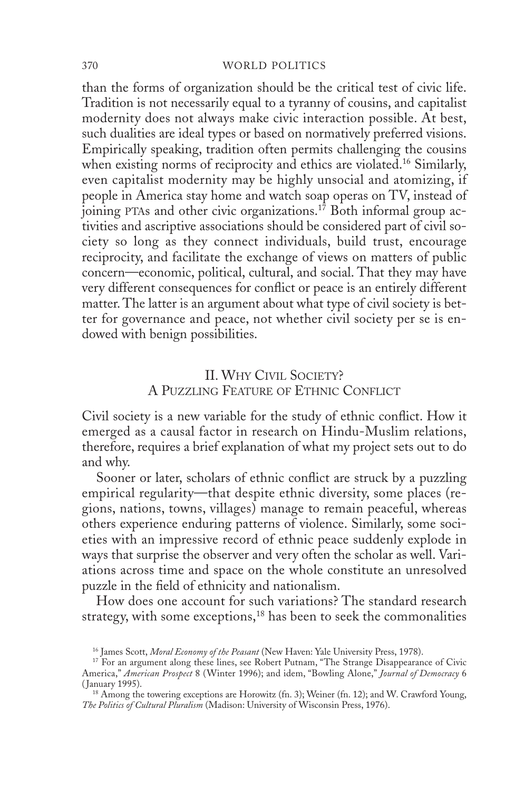than the forms of organization should be the critical test of civic life. Tradition is not necessarily equal to a tyranny of cousins, and capitalist modernity does not always make civic interaction possible. At best, such dualities are ideal types or based on normatively preferred visions. Empirically speaking, tradition often permits challenging the cousins when existing norms of reciprocity and ethics are violated.<sup>16</sup> Similarly, even capitalist modernity may be highly unsocial and atomizing, if people in America stay home and watch soap operas on TV, instead of joining PTAs and other civic organizations.<sup>17</sup> Both informal group activities and ascriptive associations should be considered part of civil society so long as they connect individuals, build trust, encourage reciprocity, and facilitate the exchange of views on matters of public concern—economic, political, cultural, and social. That they may have very different consequences for conflict or peace is an entirely different matter. The latter is an argument about what type of civil society is better for governance and peace, not whether civil society per se is endowed with benign possibilities.

# II. WHY CIVIL SOCIETY? A PUZZLING FEATURE OF ETHNIC CONFLICT

Civil society is a new variable for the study of ethnic conflict. How it emerged as a causal factor in research on Hindu-Muslim relations, therefore, requires a brief explanation of what my project sets out to do and why.

Sooner or later, scholars of ethnic conflict are struck by a puzzling empirical regularity—that despite ethnic diversity, some places (regions, nations, towns, villages) manage to remain peaceful, whereas others experience enduring patterns of violence. Similarly, some societies with an impressive record of ethnic peace suddenly explode in ways that surprise the observer and very often the scholar as well. Variations across time and space on the whole constitute an unresolved puzzle in the field of ethnicity and nationalism.

How does one account for such variations? The standard research strategy, with some exceptions, $18$  has been to seek the commonalities

<sup>16</sup> James Scott, *Moral Economy of the Peasant* (New Haven: Yale University Press, 1978).

<sup>&</sup>lt;sup>17</sup> For an argument along these lines, see Robert Putnam, "The Strange Disappearance of Civic America," *American Prospect* 8 (Winter 1996); and idem, "Bowling Alone," *Journal of Democracy* 6 ( January 1995).

<sup>&</sup>lt;sup>18</sup> Among the towering exceptions are Horowitz (fn. 3); Weiner (fn. 12); and W. Crawford Young, *The Politics of Cultural Pluralism* (Madison: University of Wisconsin Press, 1976).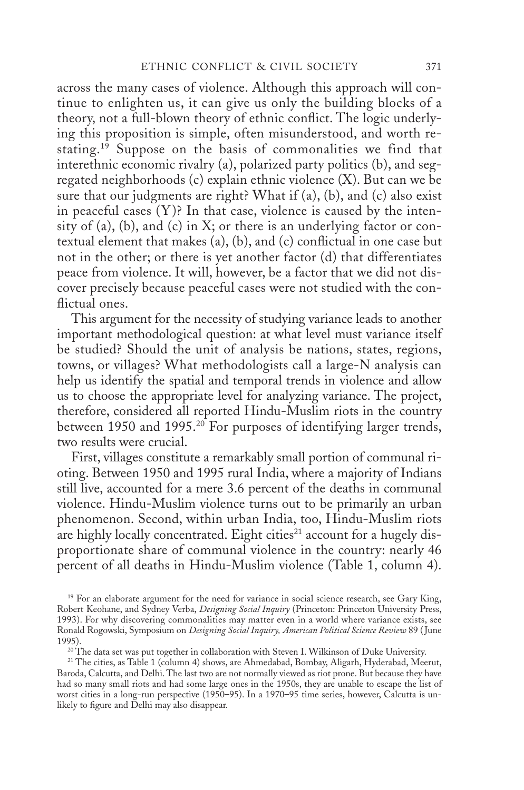across the many cases of violence. Although this approach will continue to enlighten us, it can give us only the building blocks of a theory, not a full-blown theory of ethnic conflict. The logic underlying this proposition is simple, often misunderstood, and worth restating.19 Suppose on the basis of commonalities we find that interethnic economic rivalry (a), polarized party politics (b), and segregated neighborhoods (c) explain ethnic violence (X). But can we be sure that our judgments are right? What if  $(a)$ ,  $(b)$ , and  $(c)$  also exist in peaceful cases  $(Y)$ ? In that case, violence is caused by the intensity of (a), (b), and (c) in X; or there is an underlying factor or contextual element that makes (a), (b), and (c) conflictual in one case but not in the other; or there is yet another factor (d) that differentiates peace from violence. It will, however, be a factor that we did not discover precisely because peaceful cases were not studied with the conflictual ones.

This argument for the necessity of studying variance leads to another important methodological question: at what level must variance itself be studied? Should the unit of analysis be nations, states, regions, towns, or villages? What methodologists call a large-N analysis can help us identify the spatial and temporal trends in violence and allow us to choose the appropriate level for analyzing variance. The project, therefore, considered all reported Hindu-Muslim riots in the country between 1950 and 1995.<sup>20</sup> For purposes of identifying larger trends, two results were crucial.

First, villages constitute a remarkably small portion of communal rioting. Between 1950 and 1995 rural India, where a majority of Indians still live, accounted for a mere 3.6 percent of the deaths in communal violence. Hindu-Muslim violence turns out to be primarily an urban phenomenon. Second, within urban India, too, Hindu-Muslim riots are highly locally concentrated. Eight cities<sup>21</sup> account for a hugely disproportionate share of communal violence in the country: nearly 46 percent of all deaths in Hindu-Muslim violence (Table 1, column 4).

<sup>20</sup> The data set was put together in collaboration with Steven I. Wilkinson of Duke University.

<sup>21</sup> The cities, as Table 1 (column 4) shows, are Ahmedabad, Bombay, Aligarh, Hyderabad, Meerut, Baroda, Calcutta, and Delhi. The last two are not normally viewed as riot prone. But because they have had so many small riots and had some large ones in the 1950s, they are unable to escape the list of worst cities in a long-run perspective (1950–95). In a 1970–95 time series, however, Calcutta is unlikely to figure and Delhi may also disappear.

<sup>&</sup>lt;sup>19</sup> For an elaborate argument for the need for variance in social science research, see Gary King, Robert Keohane, and Sydney Verba, *Designing Social Inquiry* (Princeton: Princeton University Press, 1993). For why discovering commonalities may matter even in a world where variance exists, see Ronald Rogowski, Symposium on *Designing Social Inquiry, American Political Science Review* 89 ( June 1995).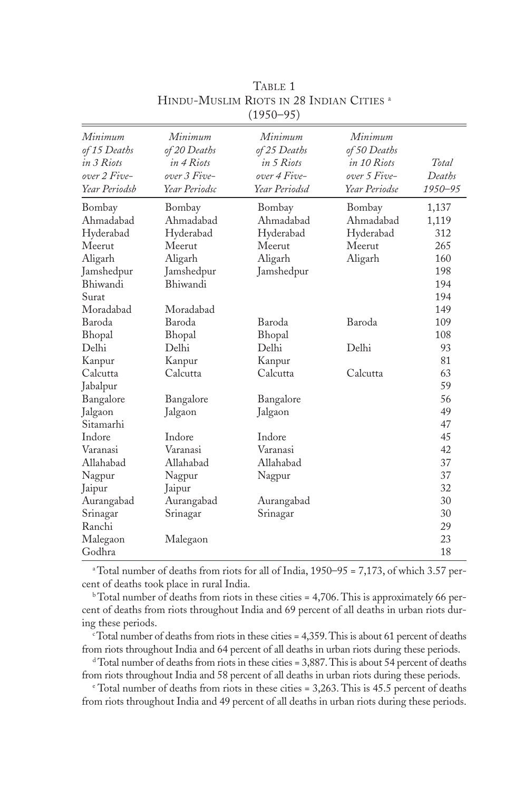| $(1950 - 95)$                                                                                         |                                                                                              |                                                                        |                                                                         |                                                                 |
|-------------------------------------------------------------------------------------------------------|----------------------------------------------------------------------------------------------|------------------------------------------------------------------------|-------------------------------------------------------------------------|-----------------------------------------------------------------|
| Minimum<br>of 15 Deaths<br>in 3 Riots<br>over 2 Five-<br>Year Periodsh                                | Minimum<br>of 20 Deaths<br>in 4 Riots<br>over 3 Five-<br>Year Periodsc                       | Minimum<br>of 25 Deaths<br>in 5 Riots<br>over 4 Five-<br>Year Periodsd | Minimum<br>of 50 Deaths<br>in 10 Riots<br>over 5 Five-<br>Year Periodse | Total<br>Deaths<br>1950-95                                      |
| Bombay<br>Ahmadabad<br>Hyderabad<br>Meerut<br>Aligarh<br>Jamshedpur<br>Bhiwandi<br>Surat<br>Moradabad | Bombay<br>Ahmadabad<br>Hyderabad<br>Meerut<br>Aligarh<br>Jamshedpur<br>Bhiwandi<br>Moradabad | Bombay<br>Ahmadabad<br>Hyderabad<br>Meerut<br>Aligarh<br>Jamshedpur    | Bombay<br>Ahmadabad<br>Hyderabad<br>Meerut<br>Aligarh                   | 1,137<br>1,119<br>312<br>265<br>160<br>198<br>194<br>194<br>149 |
| Baroda<br>Bhopal<br>Delhi<br>Kanpur<br>Calcutta                                                       | Baroda<br>Bhopal<br>Delhi<br>Kanpur<br>Calcutta                                              | Baroda<br>Bhopal<br>Delhi<br>Kanpur<br>Calcutta                        | Baroda<br>Delhi<br>Calcutta                                             | 109<br>108<br>93<br>81<br>63<br>59                              |
| Jabalpur<br>Bangalore<br>Jalgaon<br>Sitamarhi                                                         | Bangalore<br>Jalgaon                                                                         | Bangalore<br>Jalgaon                                                   |                                                                         | 56<br>49<br>47                                                  |
| Indore<br>Varanasi<br>Allahabad<br>Nagpur<br>Jaipur                                                   | Indore<br>Varanasi<br>Allahabad<br>Nagpur<br>Jaipur                                          | Indore<br>Varanasi<br>Allahabad<br>Nagpur                              |                                                                         | 45<br>42<br>37<br>37<br>32                                      |
| Aurangabad<br>Srinagar<br>Ranchi<br>Malegaon<br>Godhra                                                | Aurangabad<br>Srinagar<br>Malegaon                                                           | Aurangabad<br>Srinagar                                                 |                                                                         | 30<br>30<br>29<br>23<br>18                                      |

TABLE 1 HINDU-MUSLIM RIOTS IN 28 INDIAN CITIES <sup>a</sup>

a Total number of deaths from riots for all of India, 1950–95 = 7,173, of which 3.57 percent of deaths took place in rural India.

 $b$  Total number of deaths from riots in these cities = 4,706. This is approximately 66 percent of deaths from riots throughout India and 69 percent of all deaths in urban riots during these periods.

 $c$  Total number of deaths from riots in these cities = 4,359. This is about 61 percent of deaths from riots throughout India and 64 percent of all deaths in urban riots during these periods.

<sup>d</sup> Total number of deaths from riots in these cities = 3,887. This is about 54 percent of deaths from riots throughout India and 58 percent of all deaths in urban riots during these periods.

<sup>e</sup> Total number of deaths from riots in these cities = 3,263. This is 45.5 percent of deaths from riots throughout India and 49 percent of all deaths in urban riots during these periods.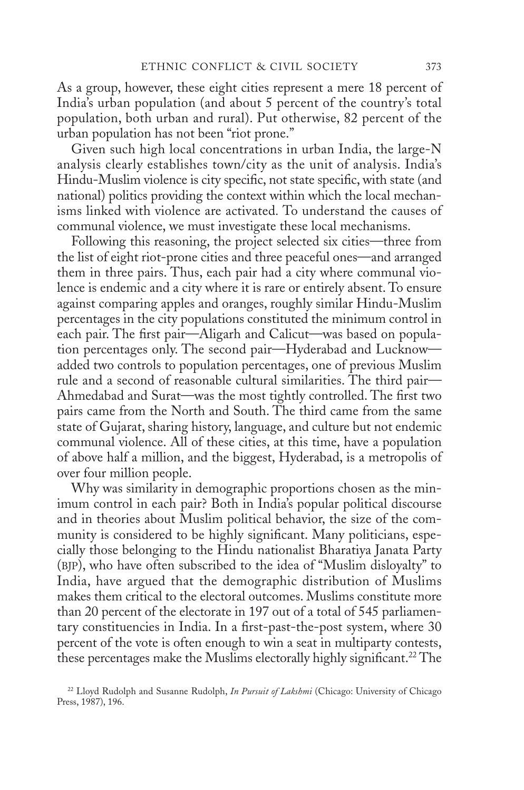As a group, however, these eight cities represent a mere 18 percent of India's urban population (and about 5 percent of the country's total population, both urban and rural). Put otherwise, 82 percent of the urban population has not been "riot prone."

Given such high local concentrations in urban India, the large-N analysis clearly establishes town/city as the unit of analysis. India's Hindu-Muslim violence is city specific, not state specific, with state (and national) politics providing the context within which the local mechanisms linked with violence are activated*.* To understand the causes of communal violence, we must investigate these local mechanisms.

Following this reasoning, the project selected six cities—three from the list of eight riot-prone cities and three peaceful ones—and arranged them in three pairs. Thus, each pair had a city where communal violence is endemic and a city where it is rare or entirely absent. To ensure against comparing apples and oranges, roughly similar Hindu-Muslim percentages in the city populations constituted the minimum control in each pair. The first pair—Aligarh and Calicut—was based on population percentages only. The second pair—Hyderabad and Lucknow added two controls to population percentages, one of previous Muslim rule and a second of reasonable cultural similarities. The third pair— Ahmedabad and Surat—was the most tightly controlled. The first two pairs came from the North and South. The third came from the same state of Gujarat, sharing history, language, and culture but not endemic communal violence. All of these cities, at this time, have a population of above half a million, and the biggest, Hyderabad, is a metropolis of over four million people.

Why was similarity in demographic proportions chosen as the minimum control in each pair? Both in India's popular political discourse and in theories about Muslim political behavior, the size of the community is considered to be highly significant. Many politicians, especially those belonging to the Hindu nationalist Bharatiya Janata Party (BJP), who have often subscribed to the idea of "Muslim disloyalty" to India, have argued that the demographic distribution of Muslims makes them critical to the electoral outcomes. Muslims constitute more than 20 percent of the electorate in 197 out of a total of 545 parliamentary constituencies in India. In a first-past-the-post system, where 30 percent of the vote is often enough to win a seat in multiparty contests, these percentages make the Muslims electorally highly significant.22 The

<sup>22</sup> Lloyd Rudolph and Susanne Rudolph, *In Pursuit of Lakshmi* (Chicago: University of Chicago Press, 1987), 196.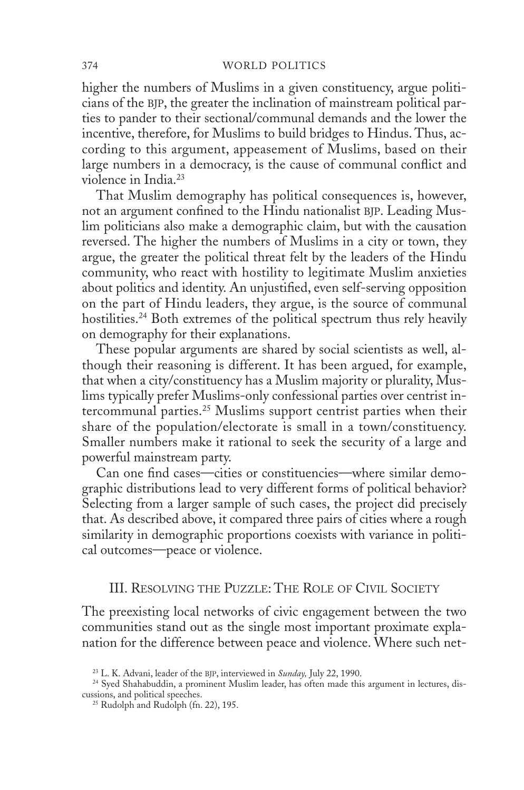higher the numbers of Muslims in a given constituency, argue politicians of the BJP, the greater the inclination of mainstream political parties to pander to their sectional/communal demands and the lower the incentive, therefore, for Muslims to build bridges to Hindus. Thus, according to this argument, appeasement of Muslims, based on their large numbers in a democracy, is the cause of communal conflict and violence in India.23

That Muslim demography has political consequences is, however, not an argument confined to the Hindu nationalist BJP. Leading Muslim politicians also make a demographic claim, but with the causation reversed. The higher the numbers of Muslims in a city or town, they argue, the greater the political threat felt by the leaders of the Hindu community, who react with hostility to legitimate Muslim anxieties about politics and identity. An unjustified, even self-serving opposition on the part of Hindu leaders, they argue, is the source of communal hostilities.<sup>24</sup> Both extremes of the political spectrum thus rely heavily on demography for their explanations.

These popular arguments are shared by social scientists as well, although their reasoning is different. It has been argued, for example, that when a city/constituency has a Muslim majority or plurality, Muslims typically prefer Muslims-only confessional parties over centrist intercommunal parties.<sup>25</sup> Muslims support centrist parties when their share of the population/electorate is small in a town/constituency. Smaller numbers make it rational to seek the security of a large and powerful mainstream party.

Can one find cases—cities or constituencies—where similar demographic distributions lead to very different forms of political behavior? Selecting from a larger sample of such cases, the project did precisely that. As described above, it compared three pairs of cities where a rough similarity in demographic proportions coexists with variance in political outcomes—peace or violence.

# III. RESOLVING THE PUZZLE: THE ROLE OF CIVIL SOCIETY

The preexisting local networks of civic engagement between the two communities stand out as the single most important proximate explanation for the difference between peace and violence. Where such net-

<sup>23</sup> L. K. Advani, leader of the BJP, interviewed in *Sunday,* July 22, 1990.

<sup>&</sup>lt;sup>24</sup> Syed Shahabuddin, a prominent Muslim leader, has often made this argument in lectures, discussions, and political speeches.

<sup>&</sup>lt;sup>25</sup> Rudolph and Rudolph (fn. 22), 195.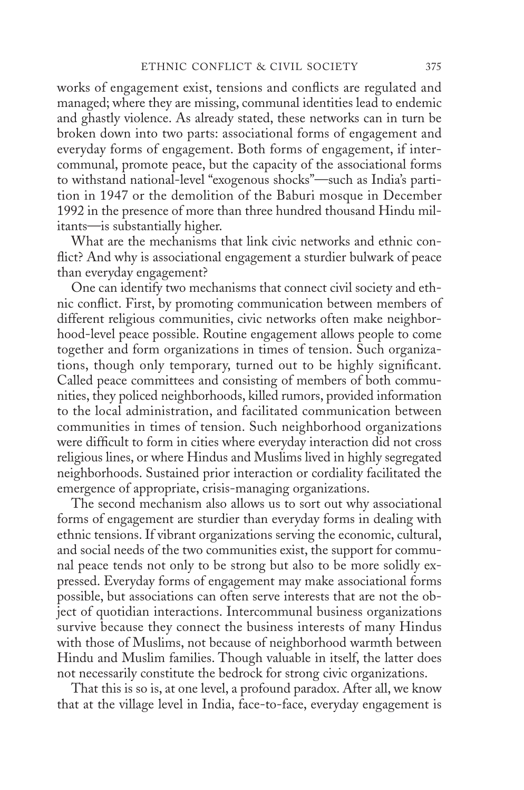works of engagement exist, tensions and conflicts are regulated and managed; where they are missing, communal identities lead to endemic and ghastly violence. As already stated, these networks can in turn be broken down into two parts: associational forms of engagement and everyday forms of engagement. Both forms of engagement, if intercommunal, promote peace, but the capacity of the associational forms to withstand national-level "exogenous shocks"—such as India's partition in 1947 or the demolition of the Baburi mosque in December 1992 in the presence of more than three hundred thousand Hindu militants—is substantially higher.

What are the mechanisms that link civic networks and ethnic conflict? And why is associational engagement a sturdier bulwark of peace than everyday engagement?

One can identify two mechanisms that connect civil society and ethnic conflict. First, by promoting communication between members of different religious communities, civic networks often make neighborhood-level peace possible. Routine engagement allows people to come together and form organizations in times of tension. Such organizations, though only temporary, turned out to be highly significant. Called peace committees and consisting of members of both communities, they policed neighborhoods, killed rumors, provided information to the local administration, and facilitated communication between communities in times of tension. Such neighborhood organizations were difficult to form in cities where everyday interaction did not cross religious lines, or where Hindus and Muslims lived in highly segregated neighborhoods. Sustained prior interaction or cordiality facilitated the emergence of appropriate, crisis-managing organizations.

The second mechanism also allows us to sort out why associational forms of engagement are sturdier than everyday forms in dealing with ethnic tensions. If vibrant organizations serving the economic, cultural, and social needs of the two communities exist, the support for communal peace tends not only to be strong but also to be more solidly expressed. Everyday forms of engagement may make associational forms possible, but associations can often serve interests that are not the object of quotidian interactions. Intercommunal business organizations survive because they connect the business interests of many Hindus with those of Muslims, not because of neighborhood warmth between Hindu and Muslim families. Though valuable in itself, the latter does not necessarily constitute the bedrock for strong civic organizations.

That this is so is, at one level, a profound paradox. After all, we know that at the village level in India, face-to-face, everyday engagement is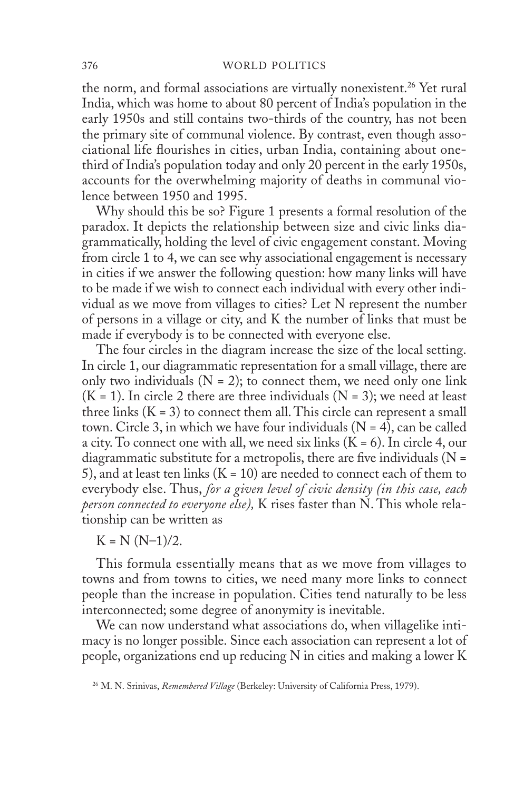the norm, and formal associations are virtually nonexistent.<sup>26</sup> Yet rural India, which was home to about 80 percent of India's population in the early 1950s and still contains two-thirds of the country, has not been the primary site of communal violence. By contrast, even though associational life flourishes in cities, urban India, containing about onethird of India's population today and only 20 percent in the early 1950s, accounts for the overwhelming majority of deaths in communal violence between 1950 and 1995.

Why should this be so? Figure 1 presents a formal resolution of the paradox. It depicts the relationship between size and civic links diagrammatically, holding the level of civic engagement constant. Moving from circle 1 to 4, we can see why associational engagement is necessary in cities if we answer the following question: how many links will have to be made if we wish to connect each individual with every other individual as we move from villages to cities? Let N represent the number of persons in a village or city, and K the number of links that must be made if everybody is to be connected with everyone else.

The four circles in the diagram increase the size of the local setting. In circle 1, our diagrammatic representation for a small village, there are only two individuals  $(N = 2)$ ; to connect them, we need only one link  $(K = 1)$ . In circle 2 there are three individuals  $(N = 3)$ ; we need at least three links  $(K = 3)$  to connect them all. This circle can represent a small town. Circle 3, in which we have four individuals  $(N = 4)$ , can be called a city. To connect one with all, we need six links (K = 6). In circle 4, our diagrammatic substitute for a metropolis, there are five individuals  $(N =$ 5), and at least ten links ( $K = 10$ ) are needed to connect each of them to everybody else. Thus, *for a given level of civic density (in this case, each person connected to everyone else),* K rises faster than N. This whole relationship can be written as

 $K = N (N-1)/2.$ 

This formula essentially means that as we move from villages to towns and from towns to cities, we need many more links to connect people than the increase in population. Cities tend naturally to be less interconnected; some degree of anonymity is inevitable.

We can now understand what associations do, when villagelike intimacy is no longer possible. Since each association can represent a lot of people, organizations end up reducing N in cities and making a lower K

<sup>26</sup> M. N. Srinivas, *Remembered Village* (Berkeley: University of California Press, 1979).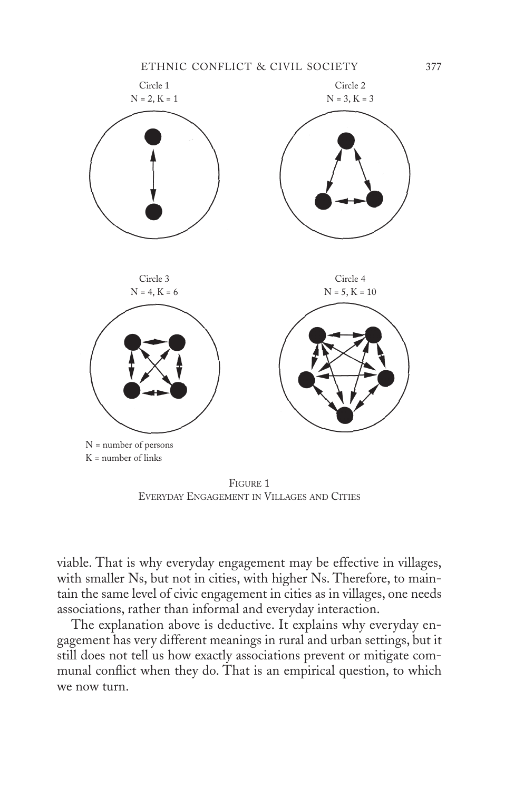

EVERYDAY ENGAGEMENT IN VILLAGES AND CITIES

viable. That is why everyday engagement may be effective in villages, with smaller Ns, but not in cities, with higher Ns. Therefore, to maintain the same level of civic engagement in cities as in villages, one needs associations, rather than informal and everyday interaction.

The explanation above is deductive. It explains why everyday engagement has very different meanings in rural and urban settings, but it still does not tell us how exactly associations prevent or mitigate communal conflict when they do. That is an empirical question, to which we now turn.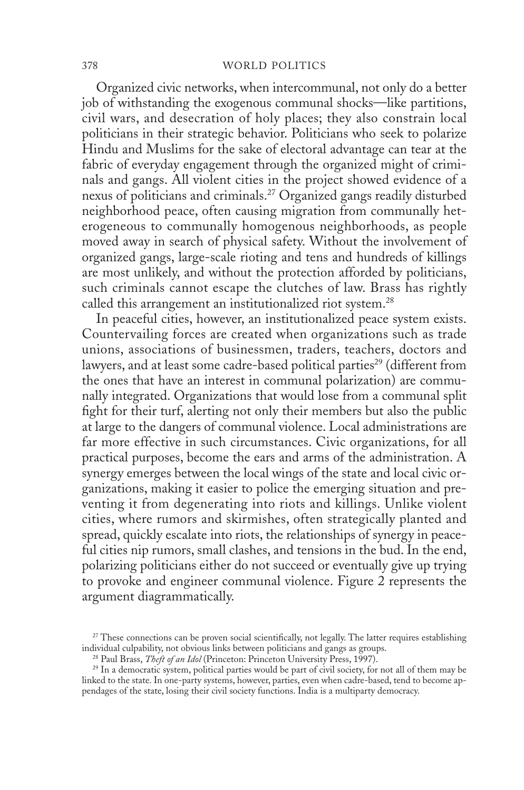Organized civic networks, when intercommunal, not only do a better job of withstanding the exogenous communal shocks—like partitions, civil wars, and desecration of holy places; they also constrain local politicians in their strategic behavior. Politicians who seek to polarize Hindu and Muslims for the sake of electoral advantage can tear at the fabric of everyday engagement through the organized might of criminals and gangs. All violent cities in the project showed evidence of a nexus of politicians and criminals.27 Organized gangs readily disturbed neighborhood peace, often causing migration from communally heterogeneous to communally homogenous neighborhoods, as people moved away in search of physical safety. Without the involvement of organized gangs, large-scale rioting and tens and hundreds of killings are most unlikely, and without the protection afforded by politicians, such criminals cannot escape the clutches of law. Brass has rightly called this arrangement an institutionalized riot system.<sup>28</sup>

In peaceful cities, however, an institutionalized peace system exists. Countervailing forces are created when organizations such as trade unions, associations of businessmen, traders, teachers, doctors and lawyers, and at least some cadre-based political parties<sup>29</sup> (different from the ones that have an interest in communal polarization) are communally integrated. Organizations that would lose from a communal split fight for their turf, alerting not only their members but also the public at large to the dangers of communal violence. Local administrations are far more effective in such circumstances. Civic organizations, for all practical purposes, become the ears and arms of the administration. A synergy emerges between the local wings of the state and local civic organizations, making it easier to police the emerging situation and preventing it from degenerating into riots and killings. Unlike violent cities, where rumors and skirmishes, often strategically planted and spread, quickly escalate into riots, the relationships of synergy in peaceful cities nip rumors, small clashes, and tensions in the bud. In the end, polarizing politicians either do not succeed or eventually give up trying to provoke and engineer communal violence. Figure 2 represents the argument diagrammatically.

<sup>&</sup>lt;sup>27</sup> These connections can be proven social scientifically, not legally. The latter requires establishing individual culpability, not obvious links between politicians and gangs as groups.

<sup>28</sup> Paul Brass, *Theft of an Idol* (Princeton: Princeton University Press, 1997).

<sup>&</sup>lt;sup>29</sup> In a democratic system, political parties would be part of civil society, for not all of them may be linked to the state. In one-party systems, however, parties, even when cadre-based, tend to become appendages of the state, losing their civil society functions. India is a multiparty democracy.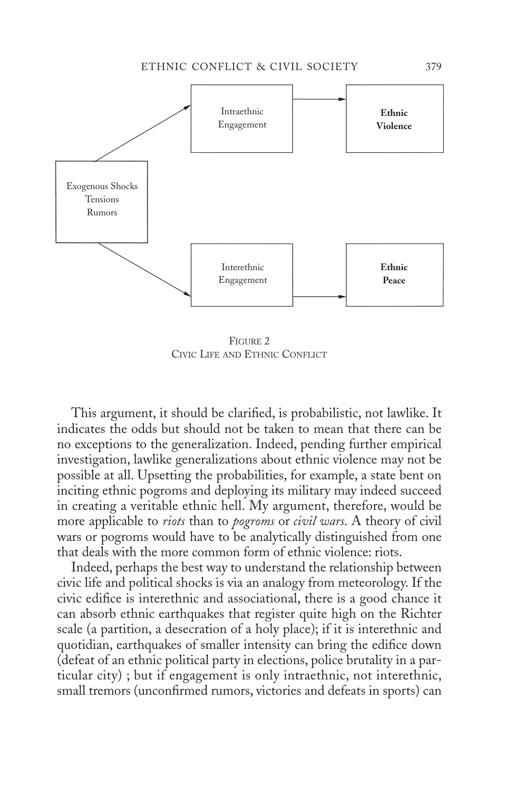

FIGURE 2 CIVIC LIFE AND ETHNIC CONFLICT

This argument, it should be clarified, is probabilistic, not lawlike. It indicates the odds but should not be taken to mean that there can be no exceptions to the generalization. Indeed, pending further empirical investigation, lawlike generalizations about ethnic violence may not be possible at all. Upsetting the probabilities, for example, a state bent on inciting ethnic pogroms and deploying its military may indeed succeed in creating a veritable ethnic hell. My argument, therefore, would be more applicable to *riots* than to *pogroms* or *civil wars*. A theory of civil wars or pogroms would have to be analytically distinguished from one that deals with the more common form of ethnic violence: riots.

Indeed, perhaps the best way to understand the relationship between civic life and political shocks is via an analogy from meteorology. If the civic edifice is interethnic and associational, there is a good chance it can absorb ethnic earthquakes that register quite high on the Richter scale (a partition, a desecration of a holy place); if it is interethnic and quotidian, earthquakes of smaller intensity can bring the edifice down (defeat of an ethnic political party in elections, police brutality in a particular city) ; but if engagement is only intraethnic, not interethnic, small tremors (unconfirmed rumors, victories and defeats in sports) can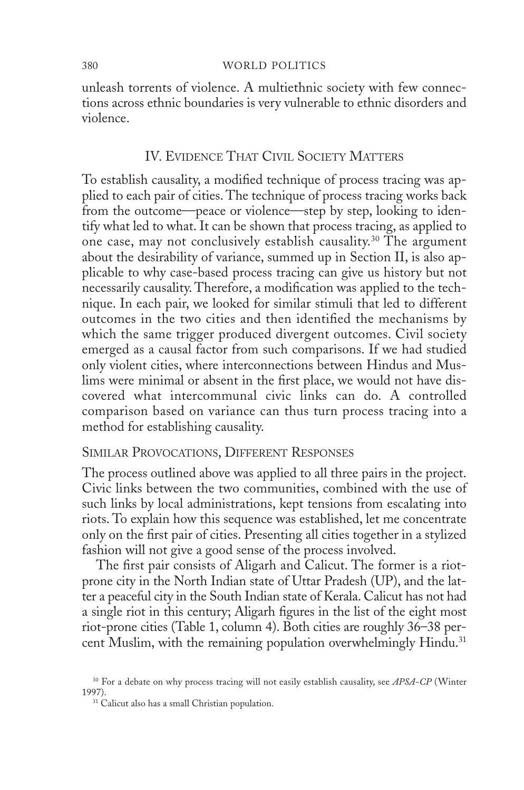unleash torrents of violence. A multiethnic society with few connections across ethnic boundaries is very vulnerable to ethnic disorders and violence.

# IV. EVIDENCE THAT CIVIL SOCIETY MATTERS

To establish causality, a modified technique of process tracing was applied to each pair of cities. The technique of process tracing works back from the outcome—peace or violence—step by step, looking to identify what led to what. It can be shown that process tracing, as applied to one case, may not conclusively establish causality.30 The argument about the desirability of variance, summed up in Section II, is also applicable to why case-based process tracing can give us history but not necessarily causality. Therefore, a modification was applied to the technique. In each pair, we looked for similar stimuli that led to different outcomes in the two cities and then identified the mechanisms by which the same trigger produced divergent outcomes. Civil society emerged as a causal factor from such comparisons. If we had studied only violent cities, where interconnections between Hindus and Muslims were minimal or absent in the first place, we would not have discovered what intercommunal civic links can do. A controlled comparison based on variance can thus turn process tracing into a method for establishing causality.

#### SIMILAR PROVOCATIONS, DIFFERENT RESPONSES

The process outlined above was applied to all three pairs in the project. Civic links between the two communities, combined with the use of such links by local administrations, kept tensions from escalating into riots. To explain how this sequence was established, let me concentrate only on the first pair of cities. Presenting all cities together in a stylized fashion will not give a good sense of the process involved.

The first pair consists of Aligarh and Calicut. The former is a riotprone city in the North Indian state of Uttar Pradesh (UP), and the latter a peaceful city in the South Indian state of Kerala. Calicut has not had a single riot in this century; Aligarh figures in the list of the eight most riot-prone cities (Table 1, column 4). Both cities are roughly 36–38 percent Muslim, with the remaining population overwhelmingly Hindu.<sup>31</sup>

<sup>30</sup> For a debate on why process tracing will not easily establish causality, see *APSA-CP* (Winter 1997).

<sup>&</sup>lt;sup>31</sup> Calicut also has a small Christian population.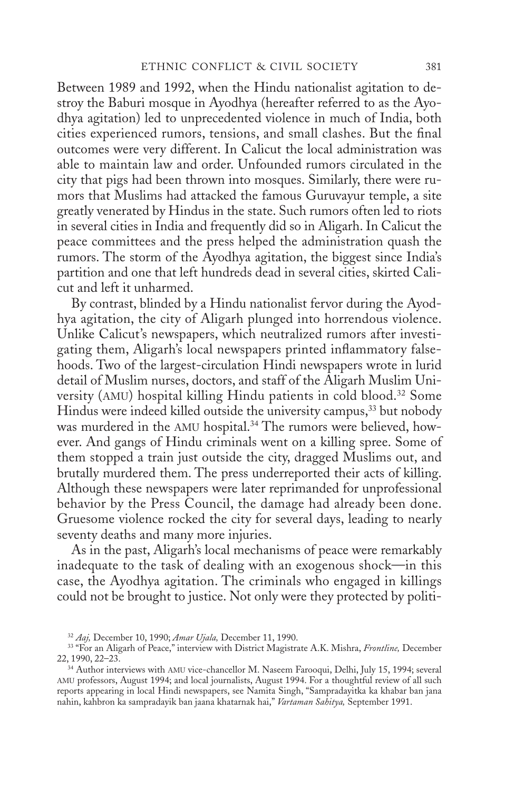Between 1989 and 1992, when the Hindu nationalist agitation to destroy the Baburi mosque in Ayodhya (hereafter referred to as the Ayodhya agitation) led to unprecedented violence in much of India, both cities experienced rumors, tensions, and small clashes. But the final outcomes were very different. In Calicut the local administration was able to maintain law and order. Unfounded rumors circulated in the city that pigs had been thrown into mosques. Similarly, there were rumors that Muslims had attacked the famous Guruvayur temple, a site greatly venerated by Hindus in the state. Such rumors often led to riots in several cities in India and frequently did so in Aligarh. In Calicut the peace committees and the press helped the administration quash the rumors. The storm of the Ayodhya agitation, the biggest since India's partition and one that left hundreds dead in several cities, skirted Calicut and left it unharmed.

By contrast, blinded by a Hindu nationalist fervor during the Ayodhya agitation, the city of Aligarh plunged into horrendous violence. Unlike Calicut's newspapers, which neutralized rumors after investigating them, Aligarh's local newspapers printed inflammatory falsehoods. Two of the largest-circulation Hindi newspapers wrote in lurid detail of Muslim nurses, doctors, and staff of the Aligarh Muslim University (AMU) hospital killing Hindu patients in cold blood.32 Some Hindus were indeed killed outside the university campus,<sup>33</sup> but nobody was murdered in the AMU hospital.<sup>34</sup> The rumors were believed, however. And gangs of Hindu criminals went on a killing spree. Some of them stopped a train just outside the city, dragged Muslims out, and brutally murdered them. The press underreported their acts of killing. Although these newspapers were later reprimanded for unprofessional behavior by the Press Council, the damage had already been done. Gruesome violence rocked the city for several days, leading to nearly seventy deaths and many more injuries.

As in the past, Aligarh's local mechanisms of peace were remarkably inadequate to the task of dealing with an exogenous shock—in this case, the Ayodhya agitation. The criminals who engaged in killings could not be brought to justice. Not only were they protected by politi-

<sup>32</sup> *Aaj,* December 10, 1990; *Amar Ujala,* December 11, 1990.

<sup>33</sup> "For an Aligarh of Peace," interview with District Magistrate A.K. Mishra, *Frontline,* December 22, 1990, 22–23.

<sup>&</sup>lt;sup>34</sup> Author interviews with AMU vice-chancellor M. Naseem Farooqui, Delhi, July 15, 1994; several AMU professors, August 1994; and local journalists, August 1994. For a thoughtful review of all such reports appearing in local Hindi newspapers, see Namita Singh, "Sampradayitka ka khabar ban jana nahin, kahbron ka sampradayik ban jaana khatarnak hai," *Vartaman Sahitya,* September 1991.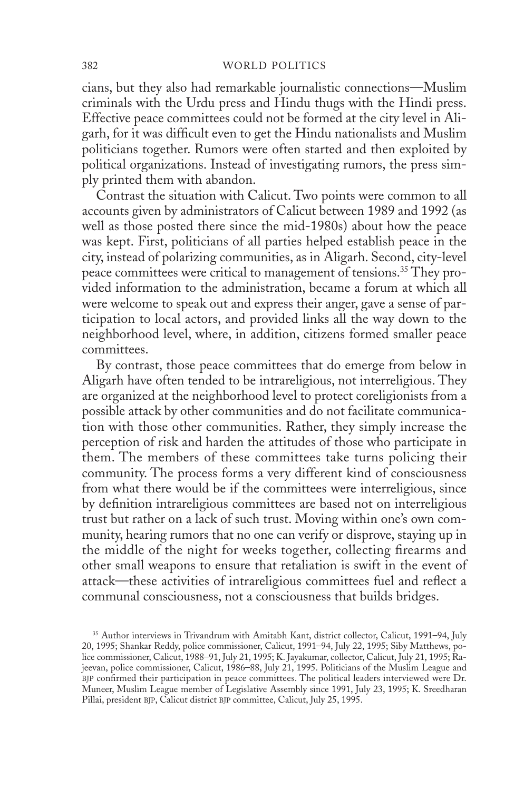cians, but they also had remarkable journalistic connections—Muslim criminals with the Urdu press and Hindu thugs with the Hindi press. Effective peace committees could not be formed at the city level in Aligarh, for it was difficult even to get the Hindu nationalists and Muslim politicians together. Rumors were often started and then exploited by political organizations. Instead of investigating rumors, the press simply printed them with abandon.

Contrast the situation with Calicut. Two points were common to all accounts given by administrators of Calicut between 1989 and 1992 (as well as those posted there since the mid-1980s) about how the peace was kept. First, politicians of all parties helped establish peace in the city, instead of polarizing communities, as in Aligarh. Second, city-level peace committees were critical to management of tensions.<sup>35</sup> They provided information to the administration, became a forum at which all were welcome to speak out and express their anger, gave a sense of participation to local actors, and provided links all the way down to the neighborhood level, where, in addition, citizens formed smaller peace committees.

By contrast, those peace committees that do emerge from below in Aligarh have often tended to be intrareligious, not interreligious. They are organized at the neighborhood level to protect coreligionists from a possible attack by other communities and do not facilitate communication with those other communities. Rather, they simply increase the perception of risk and harden the attitudes of those who participate in them. The members of these committees take turns policing their community. The process forms a very different kind of consciousness from what there would be if the committees were interreligious, since by definition intrareligious committees are based not on interreligious trust but rather on a lack of such trust. Moving within one's own community, hearing rumors that no one can verify or disprove, staying up in the middle of the night for weeks together, collecting firearms and other small weapons to ensure that retaliation is swift in the event of attack—these activities of intrareligious committees fuel and reflect a communal consciousness, not a consciousness that builds bridges.

<sup>35</sup> Author interviews in Trivandrum with Amitabh Kant, district collector, Calicut, 1991–94, July 20, 1995; Shankar Reddy, police commissioner, Calicut, 1991–94, July 22, 1995; Siby Matthews, police commissioner, Calicut, 1988–91, July 21, 1995; K. Jayakumar, collector, Calicut, July 21, 1995; Rajeevan, police commissioner, Calicut, 1986–88, July 21, 1995. Politicians of the Muslim League and BJP confirmed their participation in peace committees. The political leaders interviewed were Dr. Muneer, Muslim League member of Legislative Assembly since 1991, July 23, 1995; K. Sreedharan Pillai, president BJP, Calicut district BJP committee, Calicut, July 25, 1995.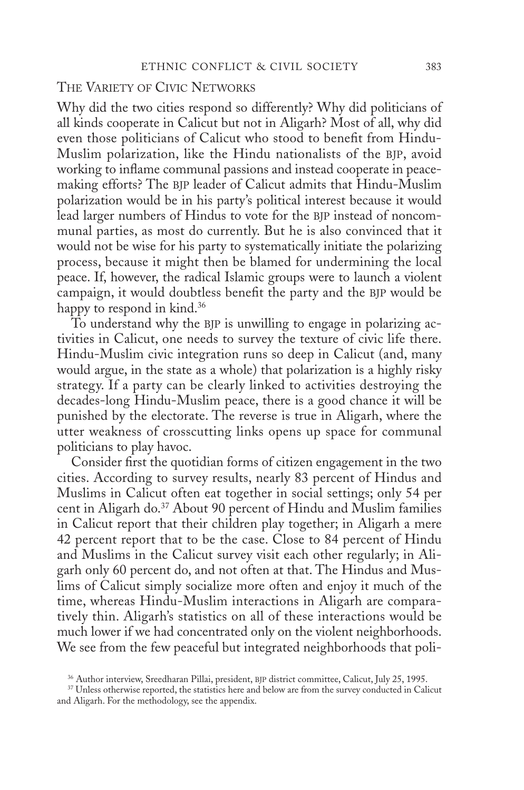# THE VARIETY OF CIVIC NETWORKS

Why did the two cities respond so differently? Why did politicians of all kinds cooperate in Calicut but not in Aligarh? Most of all, why did even those politicians of Calicut who stood to benefit from Hindu-Muslim polarization, like the Hindu nationalists of the BJP, avoid working to inflame communal passions and instead cooperate in peacemaking efforts? The BJP leader of Calicut admits that Hindu-Muslim polarization would be in his party's political interest because it would lead larger numbers of Hindus to vote for the BJP instead of noncommunal parties, as most do currently. But he is also convinced that it would not be wise for his party to systematically initiate the polarizing process, because it might then be blamed for undermining the local peace. If, however, the radical Islamic groups were to launch a violent campaign, it would doubtless benefit the party and the BJP would be happy to respond in kind.<sup>36</sup>

To understand why the BJP is unwilling to engage in polarizing activities in Calicut, one needs to survey the texture of civic life there. Hindu-Muslim civic integration runs so deep in Calicut (and, many would argue, in the state as a whole) that polarization is a highly risky strategy. If a party can be clearly linked to activities destroying the decades-long Hindu-Muslim peace, there is a good chance it will be punished by the electorate. The reverse is true in Aligarh, where the utter weakness of crosscutting links opens up space for communal politicians to play havoc.

Consider first the quotidian forms of citizen engagement in the two cities. According to survey results, nearly 83 percent of Hindus and Muslims in Calicut often eat together in social settings; only 54 per cent in Aligarh do.37 About 90 percent of Hindu and Muslim families in Calicut report that their children play together; in Aligarh a mere 42 percent report that to be the case. Close to 84 percent of Hindu and Muslims in the Calicut survey visit each other regularly; in Aligarh only 60 percent do, and not often at that. The Hindus and Muslims of Calicut simply socialize more often and enjoy it much of the time, whereas Hindu-Muslim interactions in Aligarh are comparatively thin. Aligarh's statistics on all of these interactions would be much lower if we had concentrated only on the violent neighborhoods. We see from the few peaceful but integrated neighborhoods that poli-

<sup>37</sup> Unless otherwise reported, the statistics here and below are from the survey conducted in Calicut and Aligarh. For the methodology, see the appendix.

<sup>36</sup> Author interview, Sreedharan Pillai, president, BJP district committee, Calicut, July 25, 1995.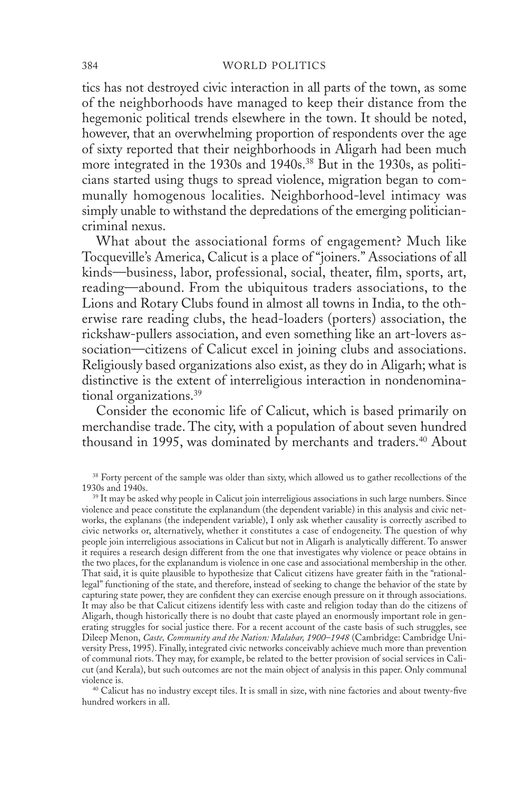tics has not destroyed civic interaction in all parts of the town, as some of the neighborhoods have managed to keep their distance from the hegemonic political trends elsewhere in the town. It should be noted, however, that an overwhelming proportion of respondents over the age of sixty reported that their neighborhoods in Aligarh had been much more integrated in the 1930s and 1940s.<sup>38</sup> But in the 1930s, as politicians started using thugs to spread violence, migration began to communally homogenous localities. Neighborhood-level intimacy was simply unable to withstand the depredations of the emerging politiciancriminal nexus.

What about the associational forms of engagement? Much like Tocqueville's America, Calicut is a place of "joiners." Associations of all kinds—business, labor, professional, social, theater, film, sports, art, reading—abound. From the ubiquitous traders associations, to the Lions and Rotary Clubs found in almost all towns in India, to the otherwise rare reading clubs, the head-loaders (porters) association, the rickshaw-pullers association, and even something like an art-lovers association—citizens of Calicut excel in joining clubs and associations. Religiously based organizations also exist, as they do in Aligarh; what is distinctive is the extent of interreligious interaction in nondenominational organizations.39

Consider the economic life of Calicut, which is based primarily on merchandise trade. The city, with a population of about seven hundred thousand in 1995, was dominated by merchants and traders.<sup>40</sup> About

<sup>&</sup>lt;sup>38</sup> Forty percent of the sample was older than sixty, which allowed us to gather recollections of the 1930s and 1940s.

<sup>&</sup>lt;sup>39</sup> It may be asked why people in Calicut join interreligious associations in such large numbers. Since violence and peace constitute the explanandum (the dependent variable) in this analysis and civic networks, the explanans (the independent variable), I only ask whether causality is correctly ascribed to civic networks or, alternatively, whether it constitutes a case of endogeneity. The question of why people join interreligious associations in Calicut but not in Aligarh is analytically different. To answer it requires a research design different from the one that investigates why violence or peace obtains in the two places, for the explanandum is violence in one case and associational membership in the other. That said, it is quite plausible to hypothesize that Calicut citizens have greater faith in the "rationallegal" functioning of the state, and therefore, instead of seeking to change the behavior of the state by capturing state power, they are confident they can exercise enough pressure on it through associations. It may also be that Calicut citizens identify less with caste and religion today than do the citizens of Aligarh, though historically there is no doubt that caste played an enormously important role in generating struggles for social justice there. For a recent account of the caste basis of such struggles, see Dileep Menon, *Caste, Community and the Nation: Malabar, 1900–1948* (Cambridge: Cambridge University Press, 1995). Finally, integrated civic networks conceivably achieve much more than prevention of communal riots. They may, for example, be related to the better provision of social services in Calicut (and Kerala), but such outcomes are not the main object of analysis in this paper. Only communal violence is.

<sup>40</sup> Calicut has no industry except tiles. It is small in size, with nine factories and about twenty-five hundred workers in all.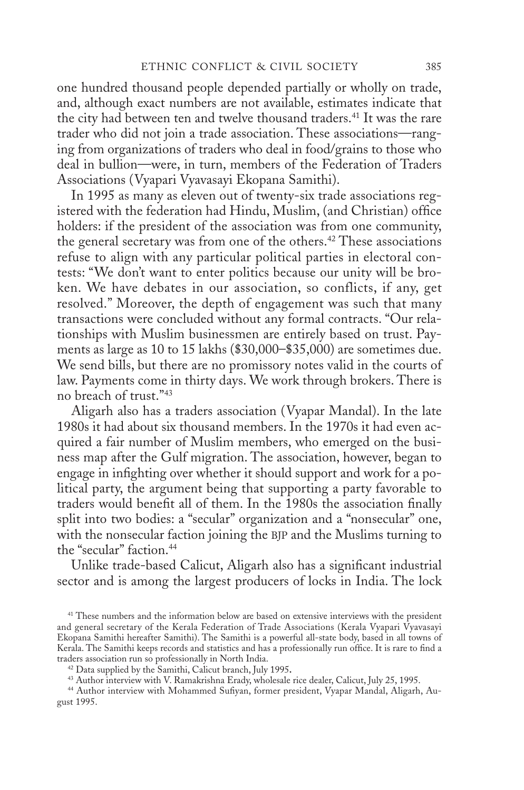one hundred thousand people depended partially or wholly on trade, and, although exact numbers are not available, estimates indicate that the city had between ten and twelve thousand traders.<sup>41</sup> It was the rare trader who did not join a trade association. These associations—ranging from organizations of traders who deal in food/grains to those who deal in bullion—were, in turn, members of the Federation of Traders Associations (Vyapari Vyavasayi Ekopana Samithi).

In 1995 as many as eleven out of twenty-six trade associations registered with the federation had Hindu, Muslim, (and Christian) office holders: if the president of the association was from one community, the general secretary was from one of the others.<sup>42</sup> These associations refuse to align with any particular political parties in electoral contests: "We don't want to enter politics because our unity will be broken. We have debates in our association, so conflicts, if any, get resolved." Moreover, the depth of engagement was such that many transactions were concluded without any formal contracts. "Our relationships with Muslim businessmen are entirely based on trust. Payments as large as 10 to 15 lakhs (\$30,000–\$35,000) are sometimes due. We send bills, but there are no promissory notes valid in the courts of law. Payments come in thirty days. We work through brokers. There is no breach of trust."43

Aligarh also has a traders association (Vyapar Mandal). In the late 1980s it had about six thousand members. In the 1970s it had even acquired a fair number of Muslim members, who emerged on the business map after the Gulf migration. The association, however, began to engage in infighting over whether it should support and work for a political party, the argument being that supporting a party favorable to traders would benefit all of them. In the 1980s the association finally split into two bodies: a "secular" organization and a "nonsecular" one, with the nonsecular faction joining the BJP and the Muslims turning to the "secular" faction.44

Unlike trade-based Calicut, Aligarh also has a significant industrial sector and is among the largest producers of locks in India. The lock

<sup>&</sup>lt;sup>41</sup> These numbers and the information below are based on extensive interviews with the president and general secretary of the Kerala Federation of Trade Associations (Kerala Vyapari Vyavasayi Ekopana Samithi hereafter Samithi). The Samithi is a powerful all-state body, based in all towns of Kerala. The Samithi keeps records and statistics and has a professionally run office. It is rare to find a traders association run so professionally in North India.

<sup>42</sup> Data supplied by the Samithi, Calicut branch, July 1995**.**

<sup>43</sup> Author interview with V. Ramakrishna Erady, wholesale rice dealer, Calicut, July 25, 1995.

<sup>44</sup> Author interview with Mohammed Sufiyan, former president, Vyapar Mandal, Aligarh, August 1995.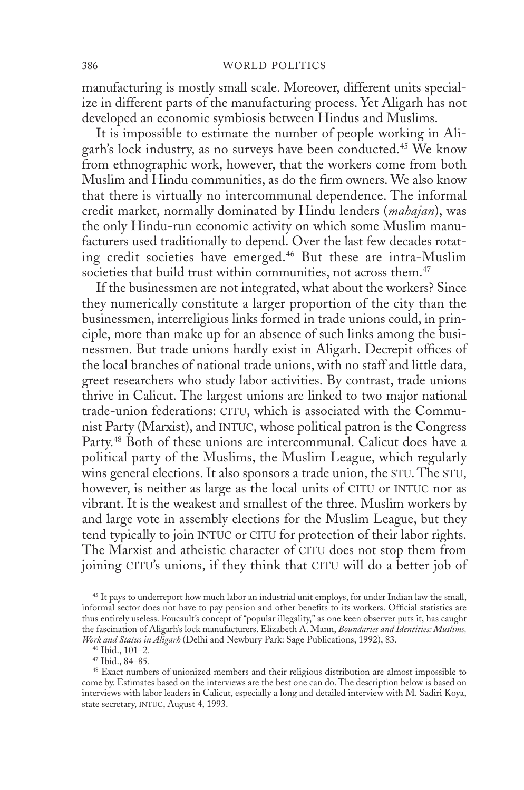manufacturing is mostly small scale. Moreover, different units specialize in different parts of the manufacturing process. Yet Aligarh has not developed an economic symbiosis between Hindus and Muslims.

It is impossible to estimate the number of people working in Aligarh's lock industry, as no surveys have been conducted.<sup>45</sup> We know from ethnographic work, however, that the workers come from both Muslim and Hindu communities, as do the firm owners. We also know that there is virtually no intercommunal dependence. The informal credit market, normally dominated by Hindu lenders (*mahajan*), was the only Hindu-run economic activity on which some Muslim manufacturers used traditionally to depend. Over the last few decades rotating credit societies have emerged.46 But these are intra-Muslim societies that build trust within communities, not across them.<sup>47</sup>

If the businessmen are not integrated, what about the workers? Since they numerically constitute a larger proportion of the city than the businessmen, interreligious links formed in trade unions could, in principle, more than make up for an absence of such links among the businessmen. But trade unions hardly exist in Aligarh. Decrepit offices of the local branches of national trade unions, with no staff and little data, greet researchers who study labor activities. By contrast, trade unions thrive in Calicut. The largest unions are linked to two major national trade-union federations: CITU, which is associated with the Communist Party (Marxist), and INTUC, whose political patron is the Congress Party.<sup>48</sup> Both of these unions are intercommunal. Calicut does have a political party of the Muslims, the Muslim League, which regularly wins general elections. It also sponsors a trade union, the STU. The STU, however, is neither as large as the local units of CITU or INTUC nor as vibrant. It is the weakest and smallest of the three. Muslim workers by and large vote in assembly elections for the Muslim League, but they tend typically to join INTUC or CITU for protection of their labor rights. The Marxist and atheistic character of CITU does not stop them from joining CITU's unions, if they think that CITU will do a better job of

<sup>&</sup>lt;sup>45</sup> It pays to underreport how much labor an industrial unit employs, for under Indian law the small, informal sector does not have to pay pension and other benefits to its workers. Official statistics are thus entirely useless. Foucault's concept of "popular illegality," as one keen observer puts it, has caught the fascination of Aligarh's lock manufacturers. Elizabeth A. Mann, *Boundaries and Identities: Muslims, Work and Status in Aligarh* (Delhi and Newbury Park: Sage Publications, 1992), 83.

<sup>46</sup> Ibid., 101–2.

<sup>47</sup> Ibid., 84–85.

<sup>48</sup> Exact numbers of unionized members and their religious distribution are almost impossible to come by. Estimates based on the interviews are the best one can do. The description below is based on interviews with labor leaders in Calicut, especially a long and detailed interview with M. Sadiri Koya, state secretary, INTUC, August 4, 1993.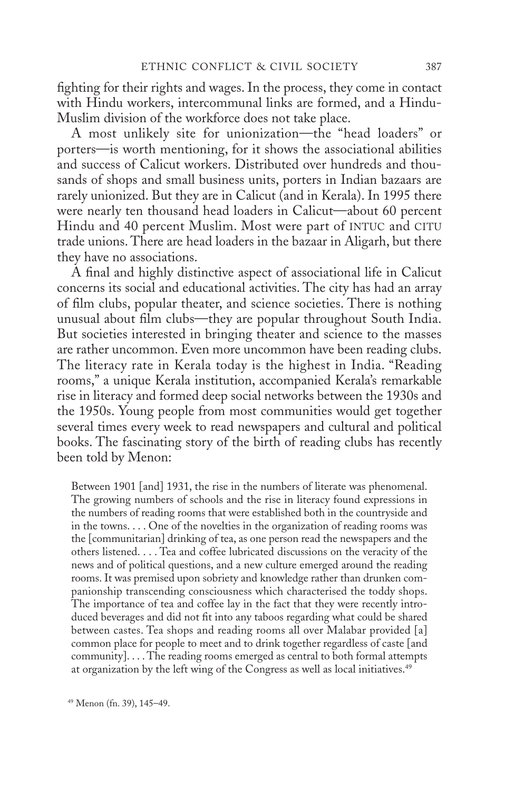fighting for their rights and wages. In the process, they come in contact with Hindu workers, intercommunal links are formed, and a Hindu-Muslim division of the workforce does not take place.

A most unlikely site for unionization—the "head loaders" or porters—is worth mentioning, for it shows the associational abilities and success of Calicut workers. Distributed over hundreds and thousands of shops and small business units, porters in Indian bazaars are rarely unionized. But they are in Calicut (and in Kerala). In 1995 there were nearly ten thousand head loaders in Calicut—about 60 percent Hindu and 40 percent Muslim. Most were part of INTUC and CITU trade unions. There are head loaders in the bazaar in Aligarh, but there they have no associations.

A final and highly distinctive aspect of associational life in Calicut concerns its social and educational activities. The city has had an array of film clubs, popular theater, and science societies. There is nothing unusual about film clubs—they are popular throughout South India. But societies interested in bringing theater and science to the masses are rather uncommon. Even more uncommon have been reading clubs. The literacy rate in Kerala today is the highest in India. "Reading rooms," a unique Kerala institution, accompanied Kerala's remarkable rise in literacy and formed deep social networks between the 1930s and the 1950s. Young people from most communities would get together several times every week to read newspapers and cultural and political books. The fascinating story of the birth of reading clubs has recently been told by Menon:

Between 1901 [and] 1931, the rise in the numbers of literate was phenomenal. The growing numbers of schools and the rise in literacy found expressions in the numbers of reading rooms that were established both in the countryside and in the towns. . . . One of the novelties in the organization of reading rooms was the [communitarian] drinking of tea, as one person read the newspapers and the others listened. . . . Tea and coffee lubricated discussions on the veracity of the news and of political questions, and a new culture emerged around the reading rooms. It was premised upon sobriety and knowledge rather than drunken companionship transcending consciousness which characterised the toddy shops. The importance of tea and coffee lay in the fact that they were recently introduced beverages and did not fit into any taboos regarding what could be shared between castes. Tea shops and reading rooms all over Malabar provided [a] common place for people to meet and to drink together regardless of caste [and community]. . . . The reading rooms emerged as central to both formal attempts at organization by the left wing of the Congress as well as local initiatives.49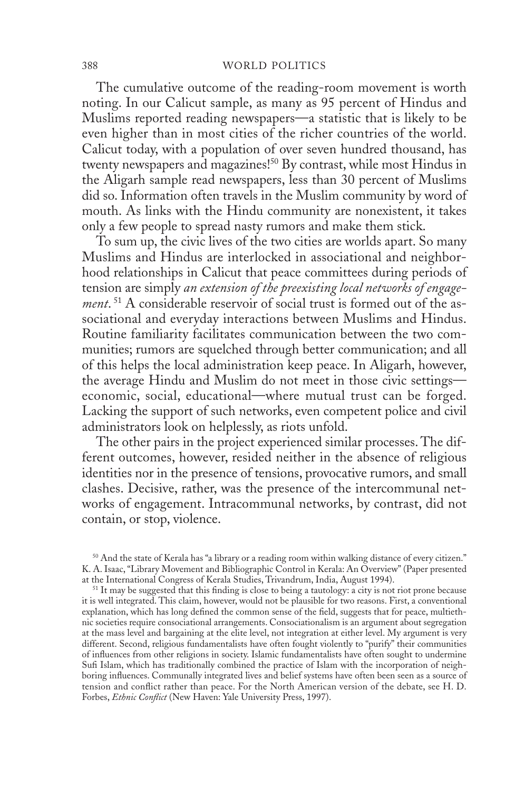The cumulative outcome of the reading-room movement is worth noting. In our Calicut sample, as many as 95 percent of Hindus and Muslims reported reading newspapers—a statistic that is likely to be even higher than in most cities of the richer countries of the world. Calicut today, with a population of over seven hundred thousand, has twenty newspapers and magazines!<sup>50</sup> By contrast, while most Hindus in the Aligarh sample read newspapers, less than 30 percent of Muslims did so. Information often travels in the Muslim community by word of mouth. As links with the Hindu community are nonexistent, it takes only a few people to spread nasty rumors and make them stick.

To sum up, the civic lives of the two cities are worlds apart. So many Muslims and Hindus are interlocked in associational and neighborhood relationships in Calicut that peace committees during periods of tension are simply *an extension of the preexisting local networks of engagement*. <sup>51</sup> A considerable reservoir of social trust is formed out of the associational and everyday interactions between Muslims and Hindus. Routine familiarity facilitates communication between the two communities; rumors are squelched through better communication; and all of this helps the local administration keep peace. In Aligarh, however, the average Hindu and Muslim do not meet in those civic settings economic, social, educational—where mutual trust can be forged. Lacking the support of such networks, even competent police and civil administrators look on helplessly, as riots unfold.

The other pairs in the project experienced similar processes. The different outcomes, however, resided neither in the absence of religious identities nor in the presence of tensions, provocative rumors, and small clashes. Decisive, rather, was the presence of the intercommunal networks of engagement. Intracommunal networks, by contrast, did not contain, or stop, violence.

 $50$  And the state of Kerala has "a library or a reading room within walking distance of every citizen." K. A. Isaac, "Library Movement and Bibliographic Control in Kerala: An Overview" (Paper presented at the International Congress of Kerala Studies, Trivandrum, India, August 1994).

 $51$  It may be suggested that this finding is close to being a tautology: a city is not riot prone because it is well integrated. This claim, however, would not be plausible for two reasons. First, a conventional explanation, which has long defined the common sense of the field, suggests that for peace, multiethnic societies require consociational arrangements. Consociationalism is an argument about segregation at the mass level and bargaining at the elite level, not integration at either level. My argument is very different. Second, religious fundamentalists have often fought violently to "purify" their communities of influences from other religions in society. Islamic fundamentalists have often sought to undermine Sufi Islam, which has traditionally combined the practice of Islam with the incorporation of neighboring influences. Communally integrated lives and belief systems have often been seen as a source of tension and conflict rather than peace. For the North American version of the debate, see H. D. Forbes, *Ethnic Conflict* (New Haven: Yale University Press, 1997).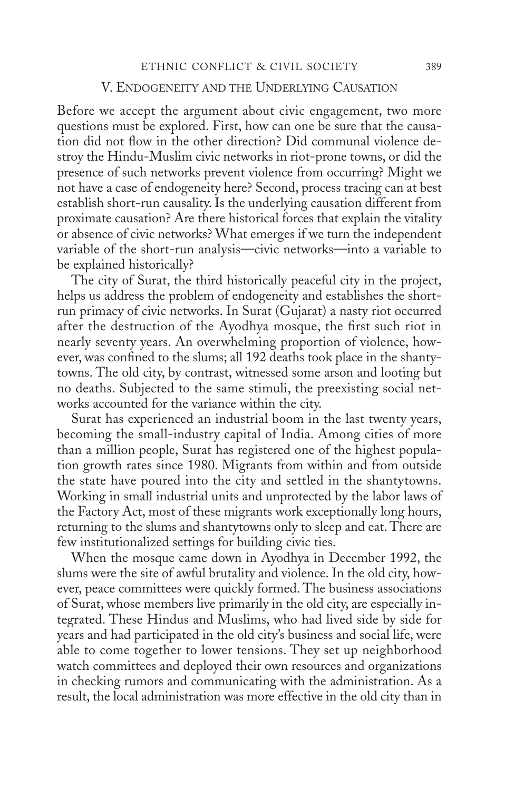# V. ENDOGENEITY AND THE UNDERLYING CAUSATION

Before we accept the argument about civic engagement, two more questions must be explored. First, how can one be sure that the causation did not flow in the other direction? Did communal violence destroy the Hindu-Muslim civic networks in riot-prone towns, or did the presence of such networks prevent violence from occurring? Might we not have a case of endogeneity here? Second, process tracing can at best establish short-run causality. Is the underlying causation different from proximate causation? Are there historical forces that explain the vitality or absence of civic networks? What emerges if we turn the independent variable of the short-run analysis—civic networks—into a variable to be explained historically?

The city of Surat, the third historically peaceful city in the project, helps us address the problem of endogeneity and establishes the shortrun primacy of civic networks. In Surat (Gujarat) a nasty riot occurred after the destruction of the Ayodhya mosque, the first such riot in nearly seventy years. An overwhelming proportion of violence, however, was confined to the slums; all 192 deaths took place in the shantytowns. The old city, by contrast, witnessed some arson and looting but no deaths. Subjected to the same stimuli, the preexisting social networks accounted for the variance within the city.

Surat has experienced an industrial boom in the last twenty years, becoming the small-industry capital of India. Among cities of more than a million people, Surat has registered one of the highest population growth rates since 1980. Migrants from within and from outside the state have poured into the city and settled in the shantytowns. Working in small industrial units and unprotected by the labor laws of the Factory Act, most of these migrants work exceptionally long hours, returning to the slums and shantytowns only to sleep and eat. There are few institutionalized settings for building civic ties.

When the mosque came down in Ayodhya in December 1992, the slums were the site of awful brutality and violence. In the old city, however, peace committees were quickly formed. The business associations of Surat, whose members live primarily in the old city, are especially integrated. These Hindus and Muslims, who had lived side by side for years and had participated in the old city's business and social life, were able to come together to lower tensions. They set up neighborhood watch committees and deployed their own resources and organizations in checking rumors and communicating with the administration. As a result, the local administration was more effective in the old city than in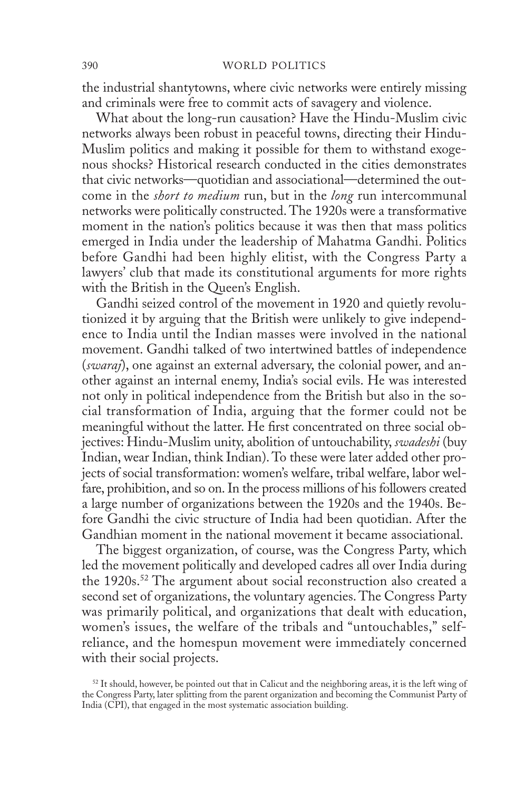the industrial shantytowns, where civic networks were entirely missing and criminals were free to commit acts of savagery and violence.

What about the long-run causation? Have the Hindu-Muslim civic networks always been robust in peaceful towns, directing their Hindu-Muslim politics and making it possible for them to withstand exogenous shocks? Historical research conducted in the cities demonstrates that civic networks—quotidian and associational—determined the outcome in the *short to medium* run, but in the *long* run intercommunal networks were politically constructed. The 1920s were a transformative moment in the nation's politics because it was then that mass politics emerged in India under the leadership of Mahatma Gandhi. Politics before Gandhi had been highly elitist, with the Congress Party a lawyers' club that made its constitutional arguments for more rights with the British in the Queen's English.

Gandhi seized control of the movement in 1920 and quietly revolutionized it by arguing that the British were unlikely to give independence to India until the Indian masses were involved in the national movement. Gandhi talked of two intertwined battles of independence (*swaraj*), one against an external adversary, the colonial power, and another against an internal enemy, India's social evils. He was interested not only in political independence from the British but also in the social transformation of India, arguing that the former could not be meaningful without the latter. He first concentrated on three social objectives: Hindu-Muslim unity, abolition of untouchability, *swadeshi* (buy Indian, wear Indian, think Indian). To these were later added other projects of social transformation: women's welfare, tribal welfare, labor welfare, prohibition, and so on. In the process millions of his followers created a large number of organizations between the 1920s and the 1940s. Before Gandhi the civic structure of India had been quotidian. After the Gandhian moment in the national movement it became associational.

The biggest organization, of course, was the Congress Party, which led the movement politically and developed cadres all over India during the 1920s.<sup>52</sup> The argument about social reconstruction also created a second set of organizations, the voluntary agencies. The Congress Party was primarily political, and organizations that dealt with education, women's issues, the welfare of the tribals and "untouchables," selfreliance, and the homespun movement were immediately concerned with their social projects.

<sup>52</sup> It should, however, be pointed out that in Calicut and the neighboring areas, it is the left wing of the Congress Party, later splitting from the parent organization and becoming the Communist Party of India (CPI), that engaged in the most systematic association building.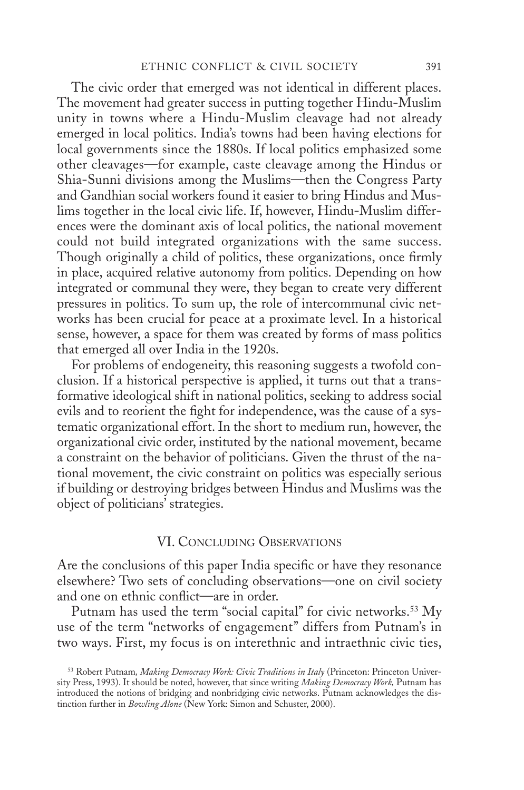The civic order that emerged was not identical in different places. The movement had greater success in putting together Hindu-Muslim unity in towns where a Hindu-Muslim cleavage had not already emerged in local politics. India's towns had been having elections for local governments since the 1880s. If local politics emphasized some other cleavages—for example, caste cleavage among the Hindus or Shia-Sunni divisions among the Muslims—then the Congress Party and Gandhian social workers found it easier to bring Hindus and Muslims together in the local civic life. If, however, Hindu-Muslim differences were the dominant axis of local politics, the national movement could not build integrated organizations with the same success. Though originally a child of politics, these organizations, once firmly in place, acquired relative autonomy from politics. Depending on how integrated or communal they were, they began to create very different pressures in politics. To sum up, the role of intercommunal civic networks has been crucial for peace at a proximate level. In a historical sense, however, a space for them was created by forms of mass politics that emerged all over India in the 1920s.

For problems of endogeneity, this reasoning suggests a twofold conclusion. If a historical perspective is applied, it turns out that a transformative ideological shift in national politics, seeking to address social evils and to reorient the fight for independence, was the cause of a systematic organizational effort. In the short to medium run, however, the organizational civic order, instituted by the national movement, became a constraint on the behavior of politicians. Given the thrust of the national movement, the civic constraint on politics was especially serious if building or destroying bridges between Hindus and Muslims was the object of politicians' strategies.

## VI. CONCLUDING OBSERVATIONS

Are the conclusions of this paper India specific or have they resonance elsewhere? Two sets of concluding observations—one on civil society and one on ethnic conflict—are in order.

Putnam has used the term "social capital" for civic networks.<sup>53</sup> My use of the term "networks of engagement" differs from Putnam's in two ways. First, my focus is on interethnic and intraethnic civic ties,

<sup>53</sup> Robert Putnam*, Making Democracy Work: Civic Traditions in Italy* (Princeton: Princeton University Press, 1993). It should be noted, however, that since writing *Making Democracy Work,* Putnam has introduced the notions of bridging and nonbridging civic networks. Putnam acknowledges the distinction further in *Bowling Alone* (New York: Simon and Schuster, 2000).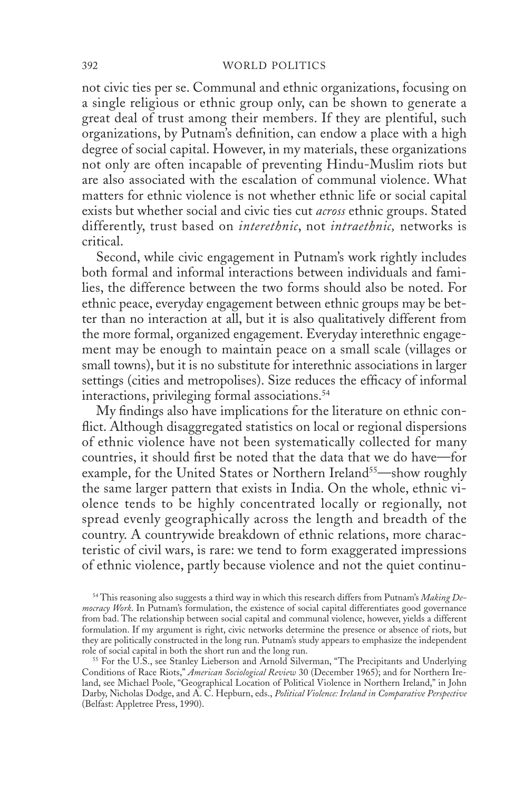not civic ties per se. Communal and ethnic organizations, focusing on a single religious or ethnic group only, can be shown to generate a great deal of trust among their members. If they are plentiful, such organizations, by Putnam's definition, can endow a place with a high degree of social capital. However, in my materials, these organizations not only are often incapable of preventing Hindu-Muslim riots but are also associated with the escalation of communal violence. What matters for ethnic violence is not whether ethnic life or social capital exists but whether social and civic ties cut *across* ethnic groups. Stated differently, trust based on *interethnic*, not *intraethnic,* networks is critical.

Second, while civic engagement in Putnam's work rightly includes both formal and informal interactions between individuals and families, the difference between the two forms should also be noted. For ethnic peace, everyday engagement between ethnic groups may be better than no interaction at all, but it is also qualitatively different from the more formal, organized engagement. Everyday interethnic engagement may be enough to maintain peace on a small scale (villages or small towns), but it is no substitute for interethnic associations in larger settings (cities and metropolises). Size reduces the efficacy of informal interactions, privileging formal associations.54

My findings also have implications for the literature on ethnic conflict. Although disaggregated statistics on local or regional dispersions of ethnic violence have not been systematically collected for many countries, it should first be noted that the data that we do have—for example, for the United States or Northern Ireland<sup>55</sup>—show roughly the same larger pattern that exists in India. On the whole, ethnic violence tends to be highly concentrated locally or regionally, not spread evenly geographically across the length and breadth of the country. A countrywide breakdown of ethnic relations, more characteristic of civil wars, is rare: we tend to form exaggerated impressions of ethnic violence, partly because violence and not the quiet continu-

<sup>54</sup> This reasoning also suggests a third way in which this research differs from Putnam's *Making Democracy Work*. In Putnam's formulation, the existence of social capital differentiates good governance from bad. The relationship between social capital and communal violence, however, yields a different formulation. If my argument is right, civic networks determine the presence or absence of riots, but they are politically constructed in the long run. Putnam's study appears to emphasize the independent role of social capital in both the short run and the long run.

<sup>55</sup> For the U.S., see Stanley Lieberson and Arnold Silverman, "The Precipitants and Underlying Conditions of Race Riots," *American Sociological Review* 30 (December 1965); and for Northern Ireland, see Michael Poole, "Geographical Location of Political Violence in Northern Ireland," in John Darby, Nicholas Dodge, and A. C. Hepburn, eds., *Political Violence: Ireland in Comparative Perspective* (Belfast: Appletree Press, 1990).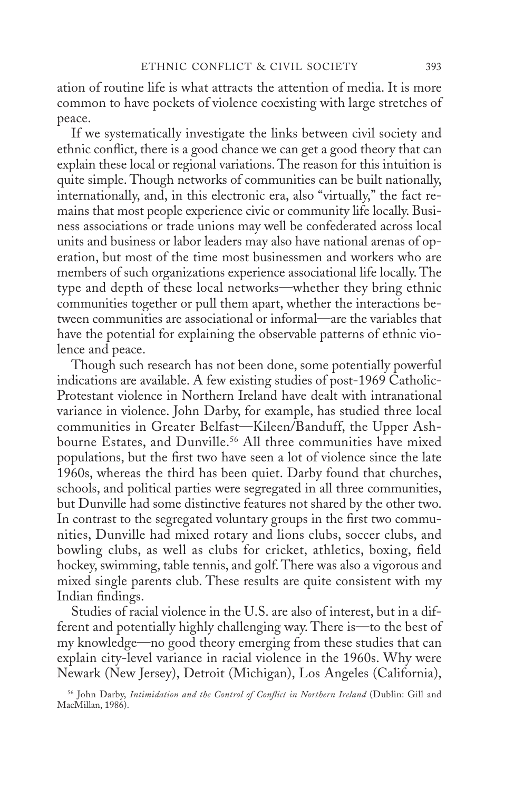ation of routine life is what attracts the attention of media. It is more common to have pockets of violence coexisting with large stretches of peace.

If we systematically investigate the links between civil society and ethnic conflict, there is a good chance we can get a good theory that can explain these local or regional variations. The reason for this intuition is quite simple. Though networks of communities can be built nationally, internationally, and, in this electronic era, also "virtually," the fact remains that most people experience civic or community life locally. Business associations or trade unions may well be confederated across local units and business or labor leaders may also have national arenas of operation, but most of the time most businessmen and workers who are members of such organizations experience associational life locally. The type and depth of these local networks—whether they bring ethnic communities together or pull them apart, whether the interactions between communities are associational or informal—are the variables that have the potential for explaining the observable patterns of ethnic violence and peace.

Though such research has not been done, some potentially powerful indications are available. A few existing studies of post-1969 Catholic-Protestant violence in Northern Ireland have dealt with intranational variance in violence. John Darby, for example, has studied three local communities in Greater Belfast—Kileen/Banduff, the Upper Ashbourne Estates, and Dunville.<sup>56</sup> All three communities have mixed populations, but the first two have seen a lot of violence since the late 1960s, whereas the third has been quiet. Darby found that churches, schools, and political parties were segregated in all three communities, but Dunville had some distinctive features not shared by the other two. In contrast to the segregated voluntary groups in the first two communities, Dunville had mixed rotary and lions clubs, soccer clubs, and bowling clubs, as well as clubs for cricket, athletics, boxing, field hockey, swimming, table tennis, and golf. There was also a vigorous and mixed single parents club. These results are quite consistent with my Indian findings.

Studies of racial violence in the U.S. are also of interest, but in a different and potentially highly challenging way. There is—to the best of my knowledge—no good theory emerging from these studies that can explain city-level variance in racial violence in the 1960s. Why were Newark (New Jersey), Detroit (Michigan), Los Angeles (California),

<sup>56</sup> John Darby, *Intimidation and the Control of Conflict in Northern Ireland* (Dublin: Gill and MacMillan, 1986).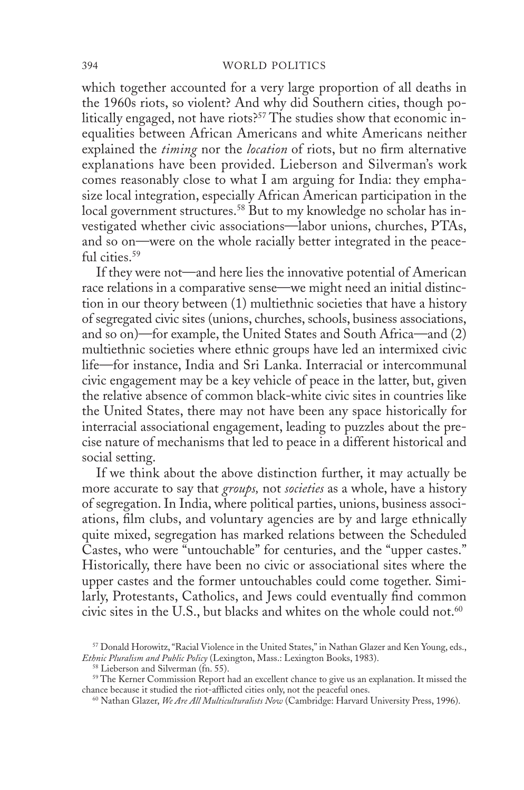which together accounted for a very large proportion of all deaths in the 1960s riots, so violent? And why did Southern cities, though politically engaged, not have riots?<sup>57</sup> The studies show that economic inequalities between African Americans and white Americans neither explained the *timing* nor the *location* of riots, but no firm alternative explanations have been provided. Lieberson and Silverman's work comes reasonably close to what I am arguing for India: they emphasize local integration, especially African American participation in the local government structures.<sup>58</sup> But to my knowledge no scholar has investigated whether civic associations—labor unions, churches, PTAs, and so on—were on the whole racially better integrated in the peaceful cities.<sup>59</sup>

If they were not—and here lies the innovative potential of American race relations in a comparative sense—we might need an initial distinction in our theory between (1) multiethnic societies that have a history of segregated civic sites (unions, churches, schools, business associations, and so on)—for example, the United States and South Africa—and (2) multiethnic societies where ethnic groups have led an intermixed civic life—for instance, India and Sri Lanka. Interracial or intercommunal civic engagement may be a key vehicle of peace in the latter, but, given the relative absence of common black-white civic sites in countries like the United States, there may not have been any space historically for interracial associational engagement, leading to puzzles about the precise nature of mechanisms that led to peace in a different historical and social setting.

If we think about the above distinction further, it may actually be more accurate to say that *groups,* not *societies* as a whole, have a history of segregation. In India, where political parties, unions, business associations, film clubs, and voluntary agencies are by and large ethnically quite mixed, segregation has marked relations between the Scheduled Castes, who were "untouchable" for centuries, and the "upper castes." Historically, there have been no civic or associational sites where the upper castes and the former untouchables could come together. Similarly, Protestants, Catholics, and Jews could eventually find common civic sites in the U.S., but blacks and whites on the whole could not.<sup>60</sup>

<sup>57</sup> Donald Horowitz, "Racial Violence in the United States," in Nathan Glazer and Ken Young, eds., *Ethnic Pluralism and Public Policy* (Lexington, Mass.: Lexington Books, 1983).

<sup>58</sup> Lieberson and Silverman (fn. 55).

<sup>59</sup> The Kerner Commission Report had an excellent chance to give us an explanation. It missed the chance because it studied the riot-afflicted cities only, not the peaceful ones.

<sup>60</sup> Nathan Glazer, *We Are All Multiculturalists Now* (Cambridge: Harvard University Press, 1996).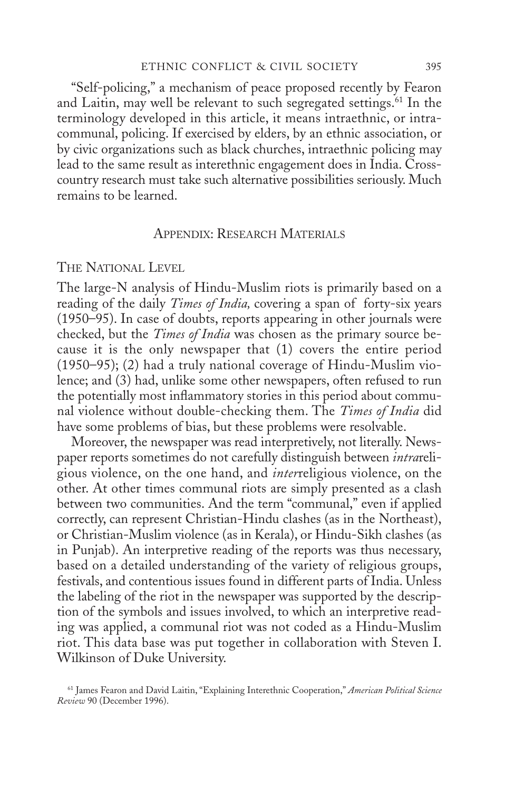"Self-policing," a mechanism of peace proposed recently by Fearon and Laitin, may well be relevant to such segregated settings.<sup>61</sup> In the terminology developed in this article, it means intraethnic, or intracommunal, policing. If exercised by elders, by an ethnic association, or by civic organizations such as black churches, intraethnic policing may lead to the same result as interethnic engagement does in India. Crosscountry research must take such alternative possibilities seriously. Much remains to be learned.

#### APPENDIX: RESEARCH MATERIALS

# THE NATIONAL LEVEL

The large-N analysis of Hindu-Muslim riots is primarily based on a reading of the daily *Times of India,* covering a span of forty-six years (1950–95). In case of doubts, reports appearing in other journals were checked, but the *Times of India* was chosen as the primary source because it is the only newspaper that (1) covers the entire period (1950–95); (2) had a truly national coverage of Hindu-Muslim violence; and (3) had, unlike some other newspapers, often refused to run the potentially most inflammatory stories in this period about communal violence without double-checking them. The *Times of India* did have some problems of bias, but these problems were resolvable.

Moreover, the newspaper was read interpretively, not literally. Newspaper reports sometimes do not carefully distinguish between *intra*religious violence, on the one hand, and *inter*religious violence, on the other. At other times communal riots are simply presented as a clash between two communities. And the term "communal," even if applied correctly, can represent Christian-Hindu clashes (as in the Northeast), or Christian-Muslim violence (as in Kerala), or Hindu-Sikh clashes (as in Punjab). An interpretive reading of the reports was thus necessary, based on a detailed understanding of the variety of religious groups, festivals, and contentious issues found in different parts of India. Unless the labeling of the riot in the newspaper was supported by the description of the symbols and issues involved, to which an interpretive reading was applied, a communal riot was not coded as a Hindu-Muslim riot. This data base was put together in collaboration with Steven I. Wilkinson of Duke University.

<sup>61</sup> James Fearon and David Laitin, "Explaining Interethnic Cooperation," *American Political Science Review* 90 (December 1996).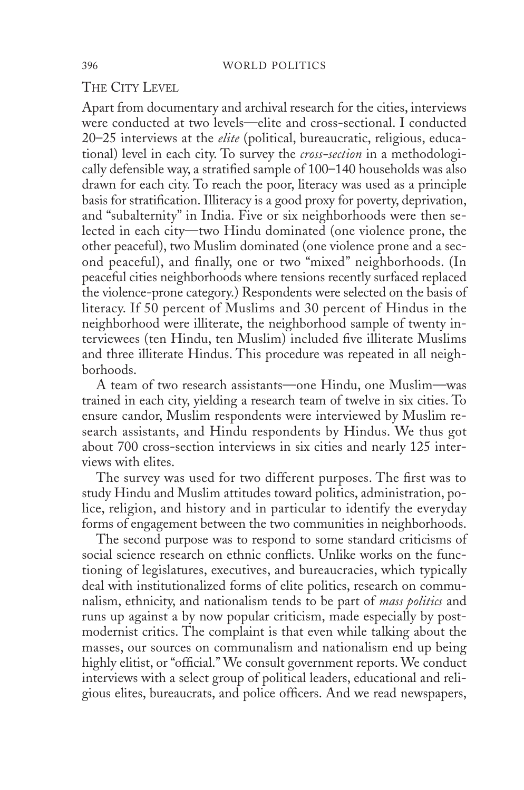# THE CITY LEVEL

Apart from documentary and archival research for the cities, interviews were conducted at two levels—elite and cross-sectional. I conducted 20–25 interviews at the *elite* (political, bureaucratic, religious, educational) level in each city. To survey the *cross-section* in a methodologically defensible way, a stratified sample of 100–140 households was also drawn for each city. To reach the poor, literacy was used as a principle basis for stratification. Illiteracy is a good proxy for poverty, deprivation, and "subalternity" in India. Five or six neighborhoods were then selected in each city—two Hindu dominated (one violence prone, the other peaceful), two Muslim dominated (one violence prone and a second peaceful), and finally, one or two "mixed" neighborhoods. (In peaceful cities neighborhoods where tensions recently surfaced replaced the violence-prone category.) Respondents were selected on the basis of literacy. If 50 percent of Muslims and 30 percent of Hindus in the neighborhood were illiterate, the neighborhood sample of twenty interviewees (ten Hindu, ten Muslim) included five illiterate Muslims and three illiterate Hindus. This procedure was repeated in all neighborhoods.

A team of two research assistants—one Hindu, one Muslim—was trained in each city, yielding a research team of twelve in six cities. To ensure candor, Muslim respondents were interviewed by Muslim research assistants, and Hindu respondents by Hindus. We thus got about 700 cross-section interviews in six cities and nearly 125 interviews with elites.

The survey was used for two different purposes. The first was to study Hindu and Muslim attitudes toward politics, administration, police, religion, and history and in particular to identify the everyday forms of engagement between the two communities in neighborhoods.

The second purpose was to respond to some standard criticisms of social science research on ethnic conflicts. Unlike works on the functioning of legislatures, executives, and bureaucracies, which typically deal with institutionalized forms of elite politics, research on communalism, ethnicity, and nationalism tends to be part of *mass politics* and runs up against a by now popular criticism, made especially by postmodernist critics. The complaint is that even while talking about the masses, our sources on communalism and nationalism end up being highly elitist, or "official." We consult government reports. We conduct interviews with a select group of political leaders, educational and religious elites, bureaucrats, and police officers. And we read newspapers,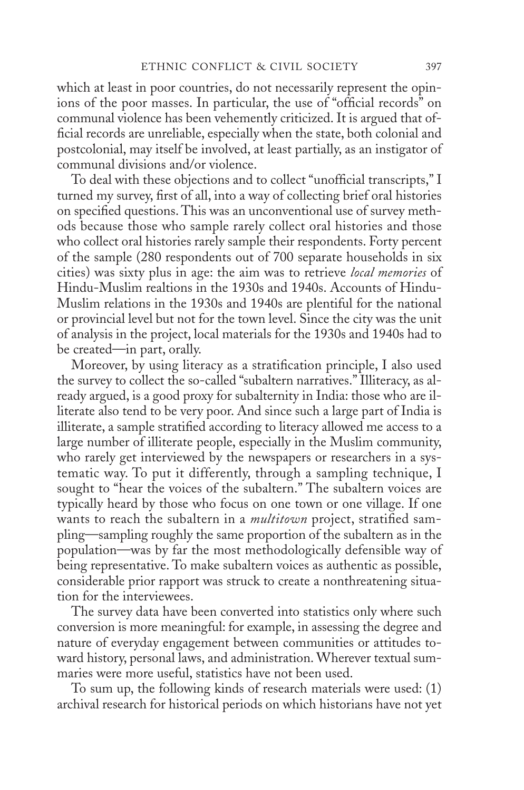which at least in poor countries, do not necessarily represent the opinions of the poor masses. In particular, the use of "official records" on communal violence has been vehemently criticized. It is argued that official records are unreliable, especially when the state, both colonial and postcolonial, may itself be involved, at least partially, as an instigator of communal divisions and/or violence.

To deal with these objections and to collect "unofficial transcripts," I turned my survey, first of all, into a way of collecting brief oral histories on specified questions. This was an unconventional use of survey methods because those who sample rarely collect oral histories and those who collect oral histories rarely sample their respondents. Forty percent of the sample (280 respondents out of 700 separate households in six cities) was sixty plus in age: the aim was to retrieve *local memories* of Hindu-Muslim realtions in the 1930s and 1940s. Accounts of Hindu-Muslim relations in the 1930s and 1940s are plentiful for the national or provincial level but not for the town level. Since the city was the unit of analysis in the project, local materials for the 1930s and 1940s had to be created—in part, orally.

Moreover, by using literacy as a stratification principle, I also used the survey to collect the so-called "subaltern narratives." Illiteracy, as already argued, is a good proxy for subalternity in India: those who are illiterate also tend to be very poor. And since such a large part of India is illiterate, a sample stratified according to literacy allowed me access to a large number of illiterate people, especially in the Muslim community, who rarely get interviewed by the newspapers or researchers in a systematic way. To put it differently, through a sampling technique, I sought to "hear the voices of the subaltern." The subaltern voices are typically heard by those who focus on one town or one village. If one wants to reach the subaltern in a *multitown* project, stratified sampling—sampling roughly the same proportion of the subaltern as in the population—was by far the most methodologically defensible way of being representative. To make subaltern voices as authentic as possible, considerable prior rapport was struck to create a nonthreatening situation for the interviewees.

The survey data have been converted into statistics only where such conversion is more meaningful: for example, in assessing the degree and nature of everyday engagement between communities or attitudes toward history, personal laws, and administration. Wherever textual summaries were more useful, statistics have not been used.

To sum up, the following kinds of research materials were used: (1) archival research for historical periods on which historians have not yet